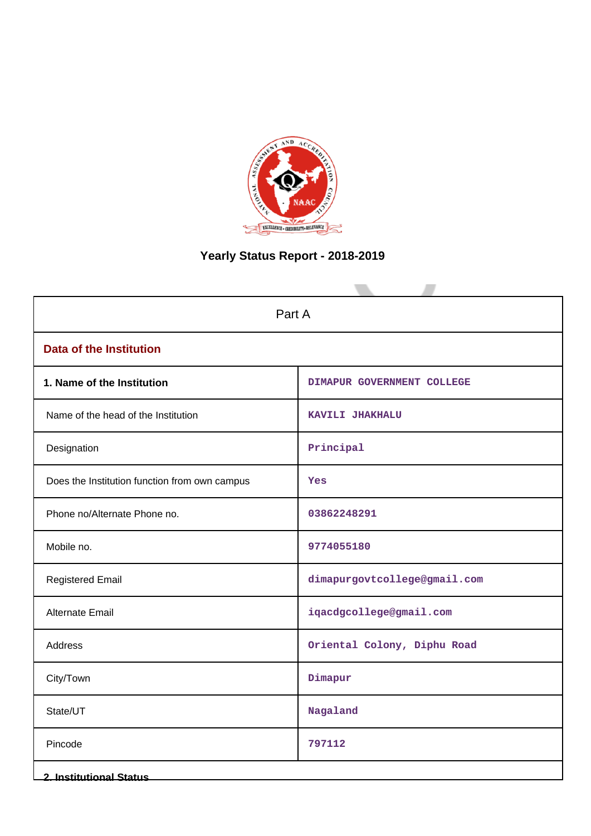

# **Yearly Status Report - 2018-2019**

| Part A                                        |                              |  |  |  |
|-----------------------------------------------|------------------------------|--|--|--|
| <b>Data of the Institution</b>                |                              |  |  |  |
| 1. Name of the Institution                    | DIMAPUR GOVERNMENT COLLEGE   |  |  |  |
| Name of the head of the Institution           | KAVILI JHAKHALU              |  |  |  |
| Designation                                   | Principal                    |  |  |  |
| Does the Institution function from own campus | Yes                          |  |  |  |
| Phone no/Alternate Phone no.                  | 03862248291                  |  |  |  |
| Mobile no.                                    | 9774055180                   |  |  |  |
| <b>Registered Email</b>                       | dimapurgovtcollege@gmail.com |  |  |  |
| <b>Alternate Email</b>                        | iqacdgcollege@gmail.com      |  |  |  |
| Address                                       | Oriental Colony, Diphu Road  |  |  |  |
| City/Town                                     | Dimapur                      |  |  |  |
| State/UT                                      | Nagaland                     |  |  |  |
| Pincode                                       | 797112                       |  |  |  |
| <b>2. Institutional Status</b>                |                              |  |  |  |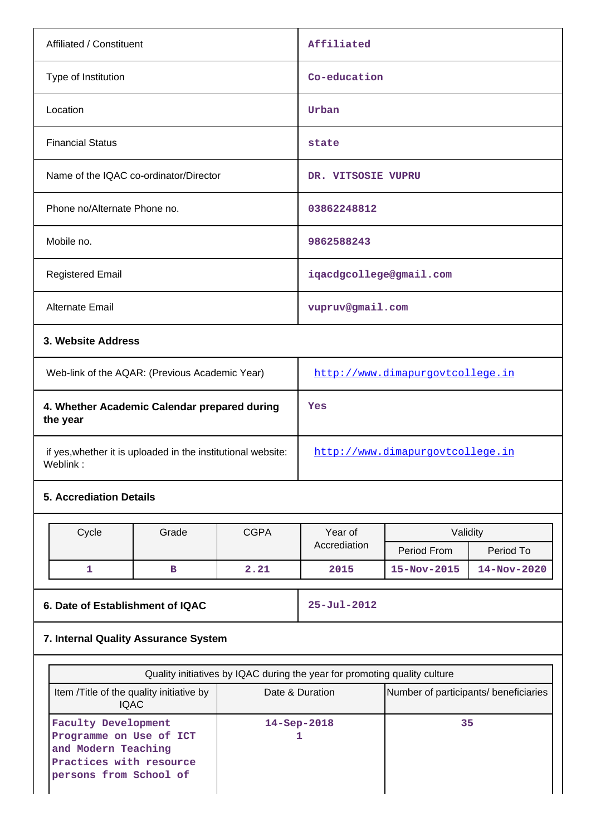| Affiliated / Constituent                                                 |                                              |             | Affiliated                                                                   |                   |                   |  |
|--------------------------------------------------------------------------|----------------------------------------------|-------------|------------------------------------------------------------------------------|-------------------|-------------------|--|
| Type of Institution                                                      |                                              |             | Co-education                                                                 |                   |                   |  |
| Location                                                                 |                                              |             | Urban                                                                        |                   |                   |  |
| <b>Financial Status</b>                                                  |                                              |             | state                                                                        |                   |                   |  |
| Name of the IQAC co-ordinator/Director                                   |                                              |             | DR. VITSOSIE VUPRU                                                           |                   |                   |  |
| Phone no/Alternate Phone no.                                             |                                              |             | 03862248812                                                                  |                   |                   |  |
| Mobile no.                                                               |                                              |             | 9862588243                                                                   |                   |                   |  |
| <b>Registered Email</b>                                                  |                                              |             | iqacdgcollege@gmail.com                                                      |                   |                   |  |
| Alternate Email                                                          |                                              |             | vupruv@gmail.com                                                             |                   |                   |  |
| 3. Website Address                                                       |                                              |             |                                                                              |                   |                   |  |
| Web-link of the AQAR: (Previous Academic Year)                           |                                              |             | http://www.dimapurgovtcollege.in                                             |                   |                   |  |
| the year                                                                 | 4. Whether Academic Calendar prepared during |             |                                                                              | Yes               |                   |  |
| if yes, whether it is uploaded in the institutional website:<br>Weblink: |                                              |             | http://www.dimapurgovtcollege.in                                             |                   |                   |  |
| <b>5. Accrediation Details</b>                                           |                                              |             |                                                                              |                   |                   |  |
| Cycle                                                                    | Grade                                        | <b>CGPA</b> | Year of                                                                      | Validity          |                   |  |
|                                                                          |                                              |             | Accrediation                                                                 | Period From       | Period To         |  |
| 1                                                                        | в                                            | 2.21        | 2015                                                                         | 15-Nov-2015       | $14 - Nov - 2020$ |  |
|                                                                          | 6. Date of Establishment of IQAC             |             |                                                                              | $25 - Jul - 2012$ |                   |  |
| 7. Internal Quality Assurance System                                     |                                              |             |                                                                              |                   |                   |  |
|                                                                          |                                              |             | $Q$ unlite initiatives by IQAC during the year for promoting quality outputs |                   |                   |  |

| Item / Title of the quality initiative by<br><b>IQAC</b>                                                                   | Date & Duration | Number of participants/ beneficiaries |
|----------------------------------------------------------------------------------------------------------------------------|-----------------|---------------------------------------|
| Faculty Development<br>Programme on Use of ICT<br>and Modern Teaching<br>Practices with resource<br>persons from School of | $14 - Sep-2018$ | 35                                    |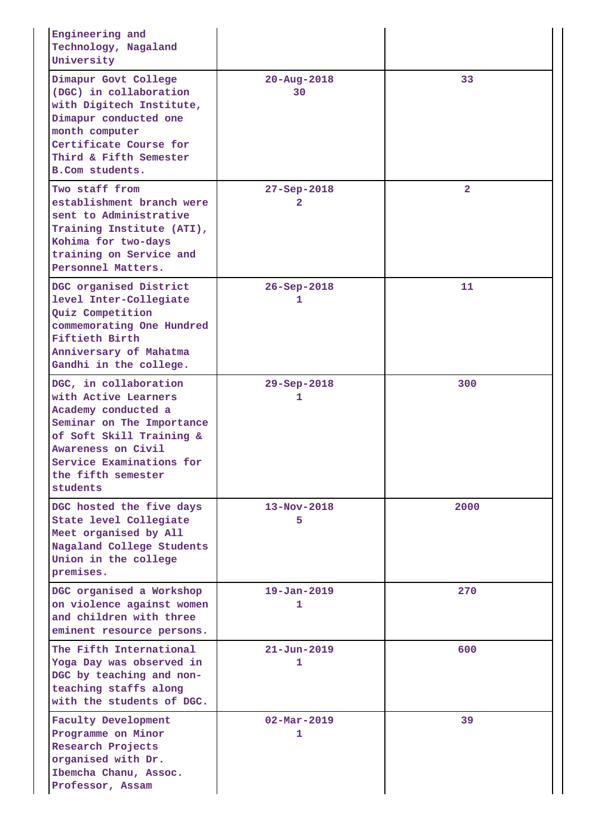| Engineering and<br>Technology, Nagaland<br>University                                                                                                                                                             |                               |                |
|-------------------------------------------------------------------------------------------------------------------------------------------------------------------------------------------------------------------|-------------------------------|----------------|
| Dimapur Govt College<br>(DGC) in collaboration<br>with Digitech Institute,<br>Dimapur conducted one<br>month computer<br>Certificate Course for<br>Third & Fifth Semester<br>B.Com students.                      | $20 - Aug - 2018$<br>30       | 33             |
| Two staff from<br>establishment branch were<br>sent to Administrative<br>Training Institute (ATI),<br>Kohima for two-days<br>training on Service and<br>Personnel Matters.                                        | 27-Sep-2018<br>2              | $\overline{2}$ |
| DGC organised District<br>level Inter-Collegiate<br>Quiz Competition<br>commemorating One Hundred<br>Fiftieth Birth<br>Anniversary of Mahatma<br>Gandhi in the college.                                           | $26 - Sep - 2018$<br>1        | 11             |
| DGC, in collaboration<br>with Active Learners<br>Academy conducted a<br>Seminar on The Importance<br>of Soft Skill Training &<br>Awareness on Civil<br>Service Examinations for<br>the fifth semester<br>students | $29 - Sep - 2018$<br>1        | 300            |
| DGC hosted the five days<br>State level Collegiate<br>Meet organised by All<br>Nagaland College Students<br>Union in the college<br>premises.                                                                     | $13 - Nov - 2018$<br>5        | 2000           |
| DGC organised a Workshop<br>on violence against women<br>and children with three<br>eminent resource persons.                                                                                                     | $19 - Jan - 2019$<br>1        | 270            |
| The Fifth International<br>Yoga Day was observed in<br>DGC by teaching and non-<br>teaching staffs along<br>with the students of DGC.                                                                             | $21 - Jun - 2019$<br>1        | 600            |
| Faculty Development<br>Programme on Minor<br>Research Projects<br>organised with Dr.<br>Ibemcha Chanu, Assoc.<br>Professor, Assam                                                                                 | $02 - \text{Mar} - 2019$<br>1 | 39             |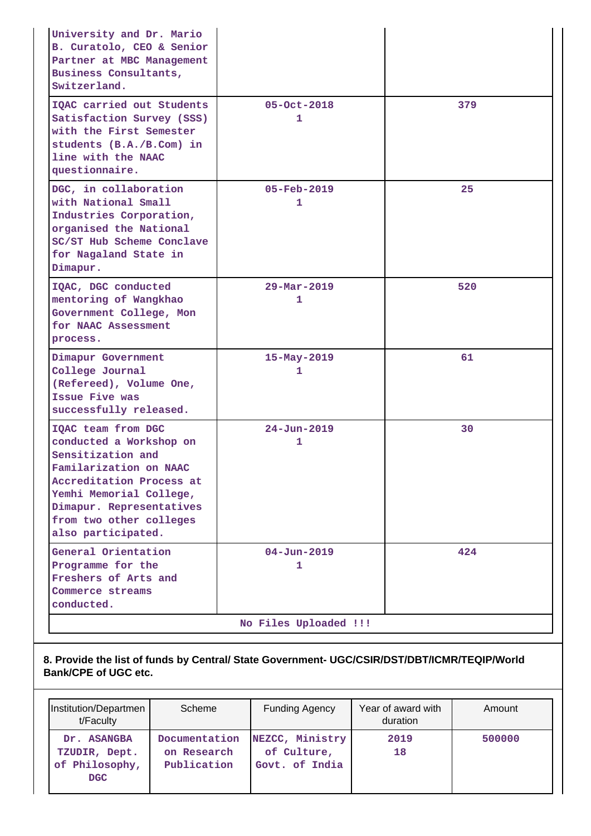| University and Dr. Mario<br>B. Curatolo, CEO & Senior<br>Partner at MBC Management<br>Business Consultants,<br>Switzerland.                                                                                                      |                               |     |  |  |
|----------------------------------------------------------------------------------------------------------------------------------------------------------------------------------------------------------------------------------|-------------------------------|-----|--|--|
| IQAC carried out Students<br>Satisfaction Survey (SSS)<br>with the First Semester<br>students (B.A./B.Com) in<br>line with the NAAC<br>questionnaire.                                                                            | 05-Oct-2018<br>1              | 379 |  |  |
| DGC, in collaboration<br>with National Small<br>Industries Corporation,<br>organised the National<br>SC/ST Hub Scheme Conclave<br>for Nagaland State in<br>Dimapur.                                                              | $05 - \text{Feb} - 2019$<br>1 | 25  |  |  |
| IQAC, DGC conducted<br>mentoring of Wangkhao<br>Government College, Mon<br>for NAAC Assessment<br>process.                                                                                                                       | $29 - \text{Mar} - 2019$<br>1 | 520 |  |  |
| Dimapur Government<br>College Journal<br>(Refereed), Volume One,<br>Issue Five was<br>successfully released.                                                                                                                     | 15-May-2019<br>1              | 61  |  |  |
| IQAC team from DGC<br>conducted a Workshop on<br>Sensitization and<br>Familarization on NAAC<br>Accreditation Process at<br>Yemhi Memorial College,<br>Dimapur. Representatives<br>from two other colleges<br>also participated. | $24 - Jun - 2019$<br>1        | 30  |  |  |
| General Orientation<br>Programme for the<br>Freshers of Arts and<br>Commerce streams<br>conducted.                                                                                                                               | $04 - Jun - 2019$<br>1        | 424 |  |  |
| No Files Uploaded !!!                                                                                                                                                                                                            |                               |     |  |  |

**8. Provide the list of funds by Central/ State Government- UGC/CSIR/DST/DBT/ICMR/TEQIP/World Bank/CPE of UGC etc.**

| Institution/Departmen<br>t/Faculty                           | Scheme                                      | <b>Funding Agency</b>                            | Year of award with<br>duration | Amount |
|--------------------------------------------------------------|---------------------------------------------|--------------------------------------------------|--------------------------------|--------|
| Dr. ASANGBA<br>TZUDIR, Dept.<br>of Philosophy,<br><b>DGC</b> | Documentation<br>on Research<br>Publication | NEZCC, Ministry<br>of Culture,<br>Govt, of India | 2019<br>18                     | 500000 |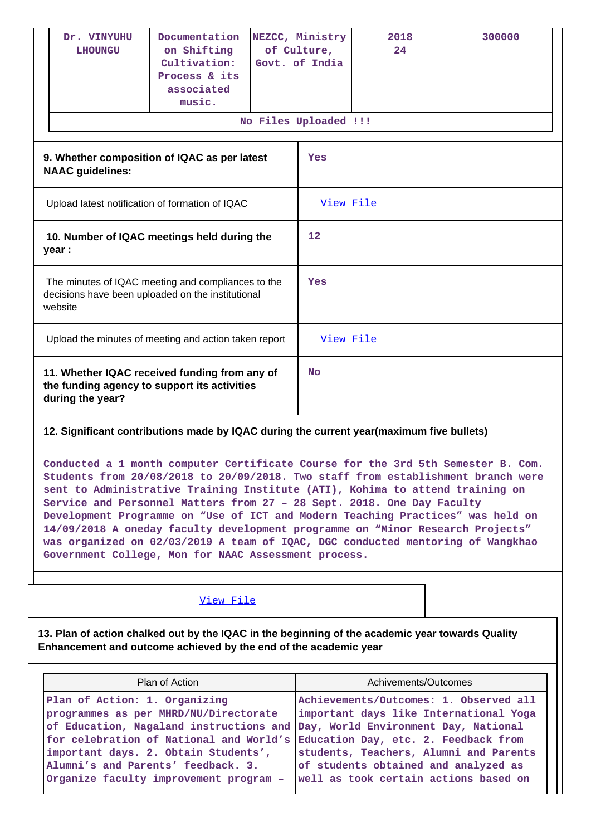|                                                                                                                    | Dr. VINYUHU<br><b>LHOUNGU</b> | Documentation<br>on Shifting<br>Cultivation:<br>Process & its<br>associated<br>music. |           | NEZCC, Ministry<br>of Culture,<br>Govt. of India | 2018<br>24 | 300000 |
|--------------------------------------------------------------------------------------------------------------------|-------------------------------|---------------------------------------------------------------------------------------|-----------|--------------------------------------------------|------------|--------|
|                                                                                                                    |                               |                                                                                       |           | No Files Uploaded !!!                            |            |        |
| 9. Whether composition of IQAC as per latest<br><b>NAAC</b> guidelines:                                            |                               |                                                                                       |           | Yes                                              |            |        |
| Upload latest notification of formation of IQAC                                                                    |                               |                                                                                       | View File |                                                  |            |        |
| 10. Number of IQAC meetings held during the<br>year :                                                              |                               |                                                                                       | 12        |                                                  |            |        |
| The minutes of IQAC meeting and compliances to the<br>decisions have been uploaded on the institutional<br>website |                               |                                                                                       |           | Yes                                              |            |        |
| Upload the minutes of meeting and action taken report                                                              |                               |                                                                                       |           | View File                                        |            |        |
| 11. Whether IQAC received funding from any of<br>the funding agency to support its activities<br>during the year?  |                               |                                                                                       | <b>No</b> |                                                  |            |        |

## **12. Significant contributions made by IQAC during the current year(maximum five bullets)**

**Conducted a 1 month computer Certificate Course for the 3rd 5th Semester B. Com. Students from 20/08/2018 to 20/09/2018. Two staff from establishment branch were sent to Administrative Training Institute (ATI), Kohima to attend training on Service and Personnel Matters from 27 – 28 Sept. 2018. One Day Faculty Development Programme on "Use of ICT and Modern Teaching Practices" was held on 14/09/2018 A oneday faculty development programme on "Minor Research Projects" was organized on 02/03/2019 A team of IQAC, DGC conducted mentoring of Wangkhao Government College, Mon for NAAC Assessment process.**

### [View File](https://assessmentonline.naac.gov.in/public/Postacc/Contribution/1262_Contribution.xlsx)

**13. Plan of action chalked out by the IQAC in the beginning of the academic year towards Quality Enhancement and outcome achieved by the end of the academic year**

| Plan of Action                                                                                                                                                                                                                         | Achivements/Outcomes                                                                                                    |
|----------------------------------------------------------------------------------------------------------------------------------------------------------------------------------------------------------------------------------------|-------------------------------------------------------------------------------------------------------------------------|
| Plan of Action: 1. Organizing<br>programmes as per MHRD/NU/Directorate<br>of Education, Nagaland instructions and Day, World Environment Day, National<br>for celebration of National and World's Education Day, etc. 2. Feedback from | Achievements/Outcomes: 1. Observed all<br>important days like International Yoga                                        |
| important days. 2. Obtain Students',<br>Alumni's and Parents' feedback. 3.<br>Organize faculty improvement program -                                                                                                                   | students, Teachers, Alumni and Parents<br>of students obtained and analyzed as<br>well as took certain actions based on |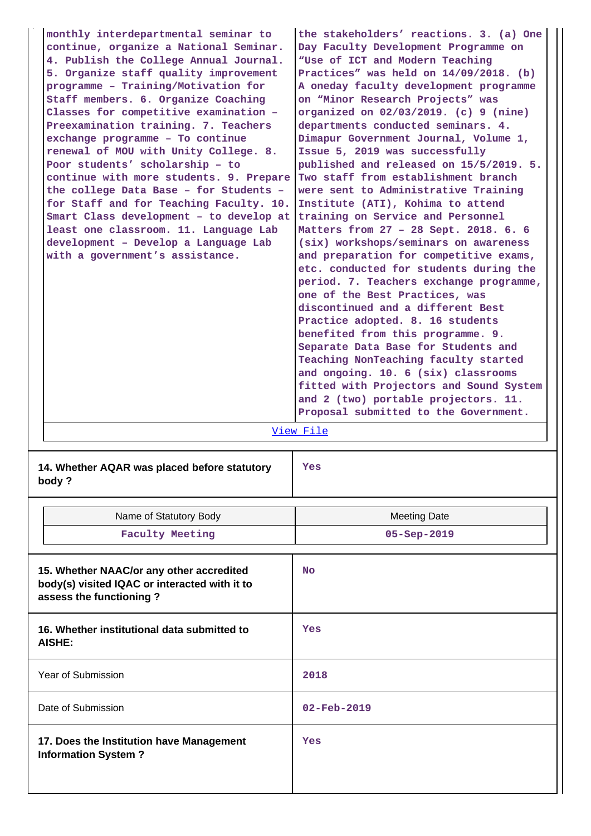**monthly interdepartmental seminar to continue, organize a National Seminar. 4. Publish the College Annual Journal. 5. Organize staff quality improvement programme – Training/Motivation for Staff members. 6. Organize Coaching Classes for competitive examination – Preexamination training. 7. Teachers exchange programme – To continue renewal of MOU with Unity College. 8. Poor students' scholarship – to continue with more students. 9. Prepare the college Data Base – for Students – for Staff and for Teaching Faculty. 10. Smart Class development – to develop at least one classroom. 11. Language Lab development – Develop a Language Lab with a government's assistance. the stakeholders' reactions. 3. (a) One Day Faculty Development Programme on "Use of ICT and Modern Teaching Practices" was held on 14/09/2018. (b) A oneday faculty development programme on "Minor Research Projects" was organized on 02/03/2019. (c) 9 (nine) departments conducted seminars. 4. Dimapur Government Journal, Volume 1, Issue 5, 2019 was successfully published and released on 15/5/2019. 5. Two staff from establishment branch were sent to Administrative Training Institute (ATI), Kohima to attend training on Service and Personnel Matters from 27 – 28 Sept. 2018. 6. 6 (six) workshops/seminars on awareness and preparation for competitive exams, etc. conducted for students during the period. 7. Teachers exchange programme, one of the Best Practices, was discontinued and a different Best Practice adopted. 8. 16 students benefited from this programme. 9. Separate Data Base for Students and Teaching NonTeaching faculty started and ongoing. 10. 6 (six) classrooms fitted with Projectors and Sound System and 2 (two) portable projectors. 11. Proposal submitted to the Government.** [View File](https://assessmentonline.naac.gov.in/public/Postacc/Quality/1262_Quality.xlsx) **14. Whether AQAR was placed before statutory Yes**

**body ?**

Name of Statutory Body Name of Statutory Body **Faculty Meeting 05-Sep-2019 15. Whether NAAC/or any other accredited body(s) visited IQAC or interacted with it to assess the functioning ? No 16. Whether institutional data submitted to AISHE: Yes** Year of Submission **2018** Date of Submission **02-Feb-2019 17. Does the Institution have Management Information System ? Yes**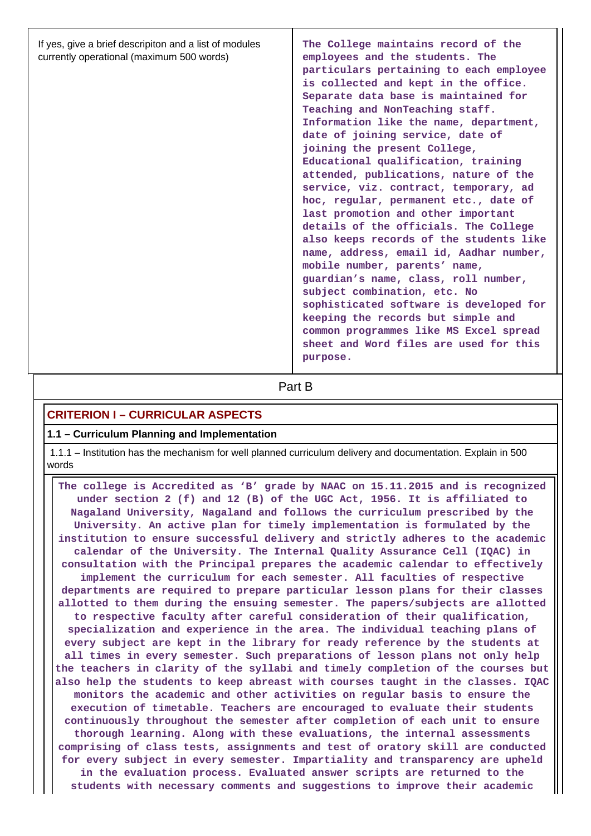| If yes, give a brief descripiton and a list of modules<br>currently operational (maximum 500 words) | The College maintains record of the<br>employees and the students. The<br>particulars pertaining to each employee<br>is collected and kept in the office.<br>Separate data base is maintained for<br>Teaching and NonTeaching staff.<br>Information like the name, department,<br>date of joining service, date of<br>joining the present College,<br>Educational qualification, training<br>attended, publications, nature of the<br>service, viz. contract, temporary, ad<br>hoc, regular, permanent etc., date of<br>last promotion and other important<br>details of the officials. The College<br>also keeps records of the students like<br>name, address, email id, Aadhar number,<br>mobile number, parents' name,<br>guardian's name, class, roll number,<br>subject combination, etc. No |
|-----------------------------------------------------------------------------------------------------|----------------------------------------------------------------------------------------------------------------------------------------------------------------------------------------------------------------------------------------------------------------------------------------------------------------------------------------------------------------------------------------------------------------------------------------------------------------------------------------------------------------------------------------------------------------------------------------------------------------------------------------------------------------------------------------------------------------------------------------------------------------------------------------------------|
|                                                                                                     | sophisticated software is developed for<br>keeping the records but simple and<br>common programmes like MS Excel spread<br>sheet and Word files are used for this                                                                                                                                                                                                                                                                                                                                                                                                                                                                                                                                                                                                                                  |
|                                                                                                     | purpose.                                                                                                                                                                                                                                                                                                                                                                                                                                                                                                                                                                                                                                                                                                                                                                                           |

**Part B** 

## **CRITERION I – CURRICULAR ASPECTS**

### **1.1 – Curriculum Planning and Implementation**

 1.1.1 – Institution has the mechanism for well planned curriculum delivery and documentation. Explain in 500 words

 **The college is Accredited as 'B' grade by NAAC on 15.11.2015 and is recognized under section 2 (f) and 12 (B) of the UGC Act, 1956. It is affiliated to Nagaland University, Nagaland and follows the curriculum prescribed by the University. An active plan for timely implementation is formulated by the institution to ensure successful delivery and strictly adheres to the academic calendar of the University. The Internal Quality Assurance Cell (IQAC) in consultation with the Principal prepares the academic calendar to effectively implement the curriculum for each semester. All faculties of respective departments are required to prepare particular lesson plans for their classes allotted to them during the ensuing semester. The papers/subjects are allotted to respective faculty after careful consideration of their qualification, specialization and experience in the area. The individual teaching plans of every subject are kept in the library for ready reference by the students at all times in every semester. Such preparations of lesson plans not only help the teachers in clarity of the syllabi and timely completion of the courses but also help the students to keep abreast with courses taught in the classes. IQAC monitors the academic and other activities on regular basis to ensure the execution of timetable. Teachers are encouraged to evaluate their students continuously throughout the semester after completion of each unit to ensure thorough learning. Along with these evaluations, the internal assessments comprising of class tests, assignments and test of oratory skill are conducted for every subject in every semester. Impartiality and transparency are upheld in the evaluation process. Evaluated answer scripts are returned to the students with necessary comments and suggestions to improve their academic**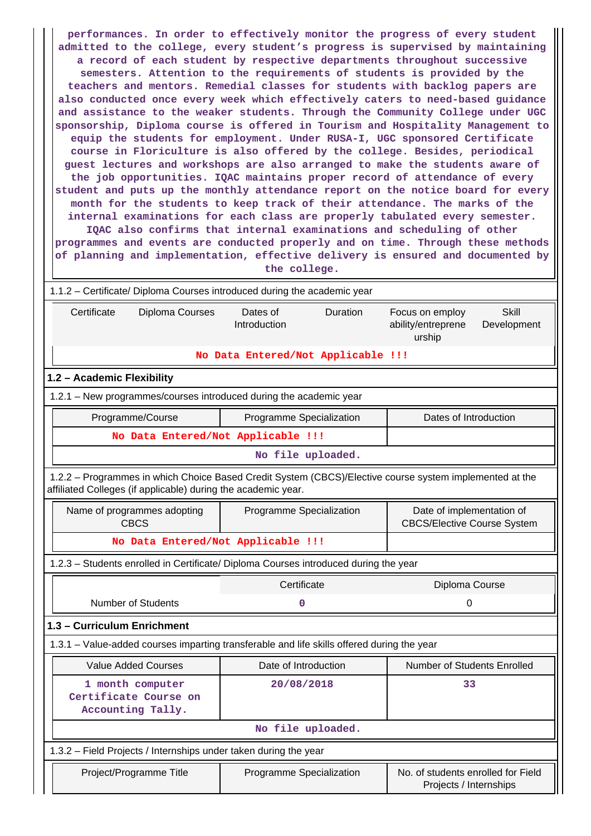| performances. In order to effectively monitor the progress of every student<br>admitted to the college, every student's progress is supervised by maintaining<br>a record of each student by respective departments throughout successive<br>semesters. Attention to the requirements of students is provided by the<br>teachers and mentors. Remedial classes for students with backlog papers are<br>also conducted once every week which effectively caters to need-based guidance<br>and assistance to the weaker students. Through the Community College under UGC<br>sponsorship, Diploma course is offered in Tourism and Hospitality Management to<br>equip the students for employment. Under RUSA-I, UGC sponsored Certificate<br>course in Floriculture is also offered by the college. Besides, periodical<br>guest lectures and workshops are also arranged to make the students aware of<br>the job opportunities. IQAC maintains proper record of attendance of every<br>student and puts up the monthly attendance report on the notice board for every<br>month for the students to keep track of their attendance. The marks of the<br>internal examinations for each class are properly tabulated every semester.<br>IQAC also confirms that internal examinations and scheduling of other<br>programmes and events are conducted properly and on time. Through these methods<br>of planning and implementation, effective delivery is ensured and documented by<br>the college. |                                    |                                                                 |  |  |  |  |  |
|-----------------------------------------------------------------------------------------------------------------------------------------------------------------------------------------------------------------------------------------------------------------------------------------------------------------------------------------------------------------------------------------------------------------------------------------------------------------------------------------------------------------------------------------------------------------------------------------------------------------------------------------------------------------------------------------------------------------------------------------------------------------------------------------------------------------------------------------------------------------------------------------------------------------------------------------------------------------------------------------------------------------------------------------------------------------------------------------------------------------------------------------------------------------------------------------------------------------------------------------------------------------------------------------------------------------------------------------------------------------------------------------------------------------------------------------------------------------------------------------------------|------------------------------------|-----------------------------------------------------------------|--|--|--|--|--|
| 1.1.2 - Certificate/ Diploma Courses introduced during the academic year                                                                                                                                                                                                                                                                                                                                                                                                                                                                                                                                                                                                                                                                                                                                                                                                                                                                                                                                                                                                                                                                                                                                                                                                                                                                                                                                                                                                                            |                                    |                                                                 |  |  |  |  |  |
| Dates of<br><b>Skill</b><br>Certificate<br>Diploma Courses<br>Duration<br>Focus on employ<br>Introduction<br>ability/entreprene<br>Development<br>urship                                                                                                                                                                                                                                                                                                                                                                                                                                                                                                                                                                                                                                                                                                                                                                                                                                                                                                                                                                                                                                                                                                                                                                                                                                                                                                                                            |                                    |                                                                 |  |  |  |  |  |
|                                                                                                                                                                                                                                                                                                                                                                                                                                                                                                                                                                                                                                                                                                                                                                                                                                                                                                                                                                                                                                                                                                                                                                                                                                                                                                                                                                                                                                                                                                     | No Data Entered/Not Applicable !!! |                                                                 |  |  |  |  |  |
| 1.2 - Academic Flexibility                                                                                                                                                                                                                                                                                                                                                                                                                                                                                                                                                                                                                                                                                                                                                                                                                                                                                                                                                                                                                                                                                                                                                                                                                                                                                                                                                                                                                                                                          |                                    |                                                                 |  |  |  |  |  |
| 1.2.1 – New programmes/courses introduced during the academic year                                                                                                                                                                                                                                                                                                                                                                                                                                                                                                                                                                                                                                                                                                                                                                                                                                                                                                                                                                                                                                                                                                                                                                                                                                                                                                                                                                                                                                  |                                    |                                                                 |  |  |  |  |  |
| Programme/Course                                                                                                                                                                                                                                                                                                                                                                                                                                                                                                                                                                                                                                                                                                                                                                                                                                                                                                                                                                                                                                                                                                                                                                                                                                                                                                                                                                                                                                                                                    | Programme Specialization           | Dates of Introduction                                           |  |  |  |  |  |
| No Data Entered/Not Applicable !!!                                                                                                                                                                                                                                                                                                                                                                                                                                                                                                                                                                                                                                                                                                                                                                                                                                                                                                                                                                                                                                                                                                                                                                                                                                                                                                                                                                                                                                                                  |                                    |                                                                 |  |  |  |  |  |
|                                                                                                                                                                                                                                                                                                                                                                                                                                                                                                                                                                                                                                                                                                                                                                                                                                                                                                                                                                                                                                                                                                                                                                                                                                                                                                                                                                                                                                                                                                     | No file uploaded.                  |                                                                 |  |  |  |  |  |
| 1.2.2 - Programmes in which Choice Based Credit System (CBCS)/Elective course system implemented at the<br>affiliated Colleges (if applicable) during the academic year.                                                                                                                                                                                                                                                                                                                                                                                                                                                                                                                                                                                                                                                                                                                                                                                                                                                                                                                                                                                                                                                                                                                                                                                                                                                                                                                            |                                    |                                                                 |  |  |  |  |  |
| Name of programmes adopting<br><b>CBCS</b>                                                                                                                                                                                                                                                                                                                                                                                                                                                                                                                                                                                                                                                                                                                                                                                                                                                                                                                                                                                                                                                                                                                                                                                                                                                                                                                                                                                                                                                          | Programme Specialization           | Date of implementation of<br><b>CBCS/Elective Course System</b> |  |  |  |  |  |
| No Data Entered/Not Applicable !!!                                                                                                                                                                                                                                                                                                                                                                                                                                                                                                                                                                                                                                                                                                                                                                                                                                                                                                                                                                                                                                                                                                                                                                                                                                                                                                                                                                                                                                                                  |                                    |                                                                 |  |  |  |  |  |
| 1.2.3 - Students enrolled in Certificate/ Diploma Courses introduced during the year                                                                                                                                                                                                                                                                                                                                                                                                                                                                                                                                                                                                                                                                                                                                                                                                                                                                                                                                                                                                                                                                                                                                                                                                                                                                                                                                                                                                                |                                    |                                                                 |  |  |  |  |  |
|                                                                                                                                                                                                                                                                                                                                                                                                                                                                                                                                                                                                                                                                                                                                                                                                                                                                                                                                                                                                                                                                                                                                                                                                                                                                                                                                                                                                                                                                                                     | Certificate                        | Diploma Course                                                  |  |  |  |  |  |
| <b>Number of Students</b>                                                                                                                                                                                                                                                                                                                                                                                                                                                                                                                                                                                                                                                                                                                                                                                                                                                                                                                                                                                                                                                                                                                                                                                                                                                                                                                                                                                                                                                                           | 0                                  | 0                                                               |  |  |  |  |  |
| 1.3 - Curriculum Enrichment                                                                                                                                                                                                                                                                                                                                                                                                                                                                                                                                                                                                                                                                                                                                                                                                                                                                                                                                                                                                                                                                                                                                                                                                                                                                                                                                                                                                                                                                         |                                    |                                                                 |  |  |  |  |  |
| 1.3.1 - Value-added courses imparting transferable and life skills offered during the year                                                                                                                                                                                                                                                                                                                                                                                                                                                                                                                                                                                                                                                                                                                                                                                                                                                                                                                                                                                                                                                                                                                                                                                                                                                                                                                                                                                                          |                                    |                                                                 |  |  |  |  |  |
| <b>Value Added Courses</b>                                                                                                                                                                                                                                                                                                                                                                                                                                                                                                                                                                                                                                                                                                                                                                                                                                                                                                                                                                                                                                                                                                                                                                                                                                                                                                                                                                                                                                                                          | Date of Introduction               | Number of Students Enrolled                                     |  |  |  |  |  |
| 1 month computer                                                                                                                                                                                                                                                                                                                                                                                                                                                                                                                                                                                                                                                                                                                                                                                                                                                                                                                                                                                                                                                                                                                                                                                                                                                                                                                                                                                                                                                                                    | 20/08/2018                         | 33                                                              |  |  |  |  |  |
| Certificate Course on<br>Accounting Tally.                                                                                                                                                                                                                                                                                                                                                                                                                                                                                                                                                                                                                                                                                                                                                                                                                                                                                                                                                                                                                                                                                                                                                                                                                                                                                                                                                                                                                                                          |                                    |                                                                 |  |  |  |  |  |
|                                                                                                                                                                                                                                                                                                                                                                                                                                                                                                                                                                                                                                                                                                                                                                                                                                                                                                                                                                                                                                                                                                                                                                                                                                                                                                                                                                                                                                                                                                     | No file uploaded.                  |                                                                 |  |  |  |  |  |
| 1.3.2 - Field Projects / Internships under taken during the year                                                                                                                                                                                                                                                                                                                                                                                                                                                                                                                                                                                                                                                                                                                                                                                                                                                                                                                                                                                                                                                                                                                                                                                                                                                                                                                                                                                                                                    |                                    |                                                                 |  |  |  |  |  |
| Project/Programme Title                                                                                                                                                                                                                                                                                                                                                                                                                                                                                                                                                                                                                                                                                                                                                                                                                                                                                                                                                                                                                                                                                                                                                                                                                                                                                                                                                                                                                                                                             | Programme Specialization           | No. of students enrolled for Field                              |  |  |  |  |  |

Projects / Internships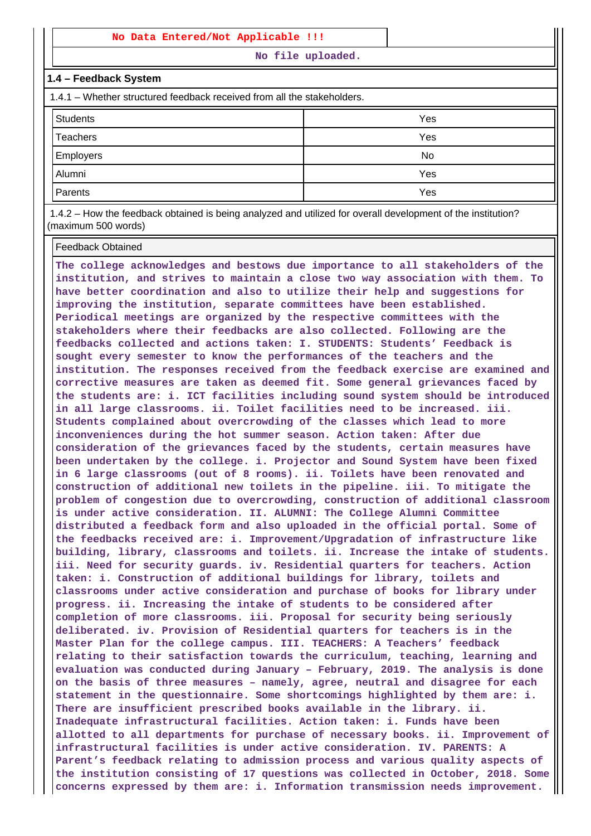#### **No Data Entered/Not Applicable !!!**

**No file uploaded.**

#### **1.4 – Feedback System**

1.4.1 – Whether structured feedback received from all the stakeholders.

| <b>Students</b> | Yes |
|-----------------|-----|
| Teachers        | Yes |
| Employers       | No  |
| Alumni          | Yes |
| Parents         | Yes |

 1.4.2 – How the feedback obtained is being analyzed and utilized for overall development of the institution? (maximum 500 words)

#### Feedback Obtained

**The college acknowledges and bestows due importance to all stakeholders of the institution, and strives to maintain a close two way association with them. To have better coordination and also to utilize their help and suggestions for improving the institution, separate committees have been established. Periodical meetings are organized by the respective committees with the stakeholders where their feedbacks are also collected. Following are the feedbacks collected and actions taken: I. STUDENTS: Students' Feedback is sought every semester to know the performances of the teachers and the institution. The responses received from the feedback exercise are examined and corrective measures are taken as deemed fit. Some general grievances faced by the students are: i. ICT facilities including sound system should be introduced in all large classrooms. ii. Toilet facilities need to be increased. iii. Students complained about overcrowding of the classes which lead to more inconveniences during the hot summer season. Action taken: After due consideration of the grievances faced by the students, certain measures have been undertaken by the college. i. Projector and Sound System have been fixed in 6 large classrooms (out of 8 rooms). ii. Toilets have been renovated and construction of additional new toilets in the pipeline. iii. To mitigate the problem of congestion due to overcrowding, construction of additional classroom is under active consideration. II. ALUMNI: The College Alumni Committee distributed a feedback form and also uploaded in the official portal. Some of the feedbacks received are: i. Improvement/Upgradation of infrastructure like building, library, classrooms and toilets. ii. Increase the intake of students. iii. Need for security guards. iv. Residential quarters for teachers. Action taken: i. Construction of additional buildings for library, toilets and classrooms under active consideration and purchase of books for library under progress. ii. Increasing the intake of students to be considered after completion of more classrooms. iii. Proposal for security being seriously deliberated. iv. Provision of Residential quarters for teachers is in the Master Plan for the college campus. III. TEACHERS: A Teachers' feedback relating to their satisfaction towards the curriculum, teaching, learning and evaluation was conducted during January – February, 2019. The analysis is done on the basis of three measures – namely, agree, neutral and disagree for each statement in the questionnaire. Some shortcomings highlighted by them are: i. There are insufficient prescribed books available in the library. ii. Inadequate infrastructural facilities. Action taken: i. Funds have been allotted to all departments for purchase of necessary books. ii. Improvement of infrastructural facilities is under active consideration. IV. PARENTS: A Parent's feedback relating to admission process and various quality aspects of the institution consisting of 17 questions was collected in October, 2018. Some concerns expressed by them are: i. Information transmission needs improvement.**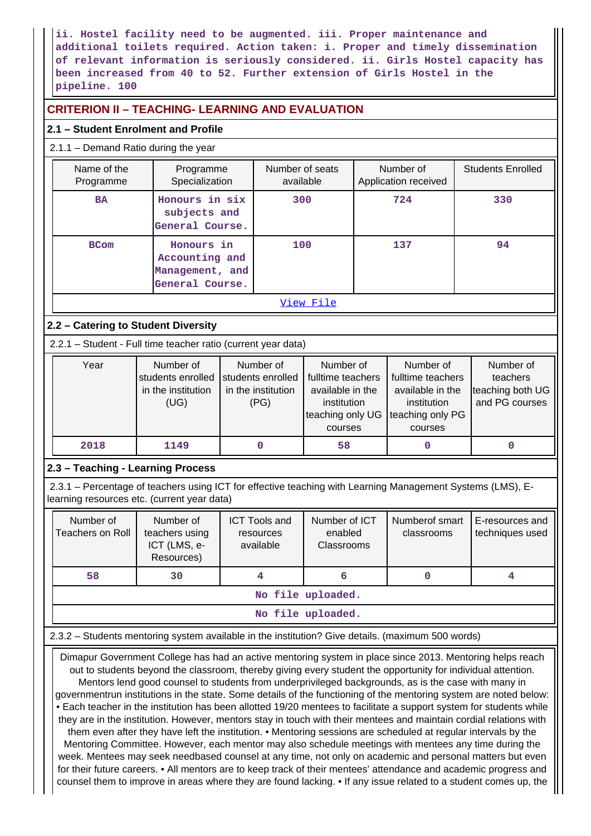**ii. Hostel facility need to be augmented. iii. Proper maintenance and additional toilets required. Action taken: i. Proper and timely dissemination of relevant information is seriously considered. ii. Girls Hostel capacity has been increased from 40 to 52. Further extension of Girls Hostel in the pipeline. 100**

## **CRITERION II – TEACHING- LEARNING AND EVALUATION**

## **2.1 – Student Enrolment and Profile**

## 2.1.1 – Demand Ratio during the year

| Name of the<br>Programme                                                                                                                                  | Programme<br>Specialization                                        |                                                              | Number of seats<br>available                   |                                                                                                  |  | Number of<br>Application received                                                                | <b>Students Enrolled</b> |                                                             |
|-----------------------------------------------------------------------------------------------------------------------------------------------------------|--------------------------------------------------------------------|--------------------------------------------------------------|------------------------------------------------|--------------------------------------------------------------------------------------------------|--|--------------------------------------------------------------------------------------------------|--------------------------|-------------------------------------------------------------|
| <b>BA</b>                                                                                                                                                 | Honours in six<br>subjects and<br>General Course.                  | 300                                                          |                                                |                                                                                                  |  | 724                                                                                              |                          | 330                                                         |
| <b>BCom</b>                                                                                                                                               | Honours in<br>Accounting and<br>Management, and<br>General Course. |                                                              |                                                | 100                                                                                              |  | 137                                                                                              |                          | 94                                                          |
|                                                                                                                                                           |                                                                    |                                                              |                                                | View File                                                                                        |  |                                                                                                  |                          |                                                             |
| 2.2 - Catering to Student Diversity                                                                                                                       |                                                                    |                                                              |                                                |                                                                                                  |  |                                                                                                  |                          |                                                             |
| 2.2.1 - Student - Full time teacher ratio (current year data)                                                                                             |                                                                    |                                                              |                                                |                                                                                                  |  |                                                                                                  |                          |                                                             |
| Year                                                                                                                                                      | Number of<br>students enrolled<br>in the institution<br>(UG)       | Number of<br>students enrolled<br>in the institution<br>(PG) |                                                | Number of<br>fulltime teachers<br>available in the<br>institution<br>teaching only UG<br>courses |  | Number of<br>fulltime teachers<br>available in the<br>institution<br>teaching only PG<br>courses |                          | Number of<br>teachers<br>teaching both UG<br>and PG courses |
| 2018                                                                                                                                                      | 1149                                                               |                                                              | $\mathbf 0$                                    | 58                                                                                               |  | 0                                                                                                |                          | $\pmb{0}$                                                   |
| 2.3 - Teaching - Learning Process                                                                                                                         |                                                                    |                                                              |                                                |                                                                                                  |  |                                                                                                  |                          |                                                             |
| 2.3.1 – Percentage of teachers using ICT for effective teaching with Learning Management Systems (LMS), E-<br>learning resources etc. (current year data) |                                                                    |                                                              |                                                |                                                                                                  |  |                                                                                                  |                          |                                                             |
| Number of<br><b>Teachers on Roll</b>                                                                                                                      | Number of<br>teachers using<br>ICT (LMS, e-<br>Resources)          |                                                              | <b>ICT Tools and</b><br>resources<br>available | Number of ICT<br>enabled<br>Classrooms                                                           |  | Numberof smart<br>classrooms                                                                     |                          | E-resources and<br>techniques used                          |
| 58                                                                                                                                                        | 30                                                                 |                                                              | 4                                              | 6                                                                                                |  | $\mathbf 0$                                                                                      |                          | 4                                                           |
|                                                                                                                                                           |                                                                    |                                                              |                                                | No file uploaded.                                                                                |  |                                                                                                  |                          |                                                             |
|                                                                                                                                                           |                                                                    |                                                              |                                                | No file uploaded.                                                                                |  |                                                                                                  |                          |                                                             |
| 2.3.2 - Students mentoring system available in the institution? Give details. (maximum 500 words)                                                         |                                                                    |                                                              |                                                |                                                                                                  |  |                                                                                                  |                          |                                                             |

 Dimapur Government College has had an active mentoring system in place since 2013. Mentoring helps reach out to students beyond the classroom, thereby giving every student the opportunity for individual attention. Mentors lend good counsel to students from underprivileged backgrounds, as is the case with many in governmentrun institutions in the state. Some details of the functioning of the mentoring system are noted below: • Each teacher in the institution has been allotted 19/20 mentees to facilitate a support system for students while they are in the institution. However, mentors stay in touch with their mentees and maintain cordial relations with them even after they have left the institution. • Mentoring sessions are scheduled at regular intervals by the Mentoring Committee. However, each mentor may also schedule meetings with mentees any time during the week. Mentees may seek needbased counsel at any time, not only on academic and personal matters but even for their future careers. • All mentors are to keep track of their mentees' attendance and academic progress and counsel them to improve in areas where they are found lacking. • If any issue related to a student comes up, the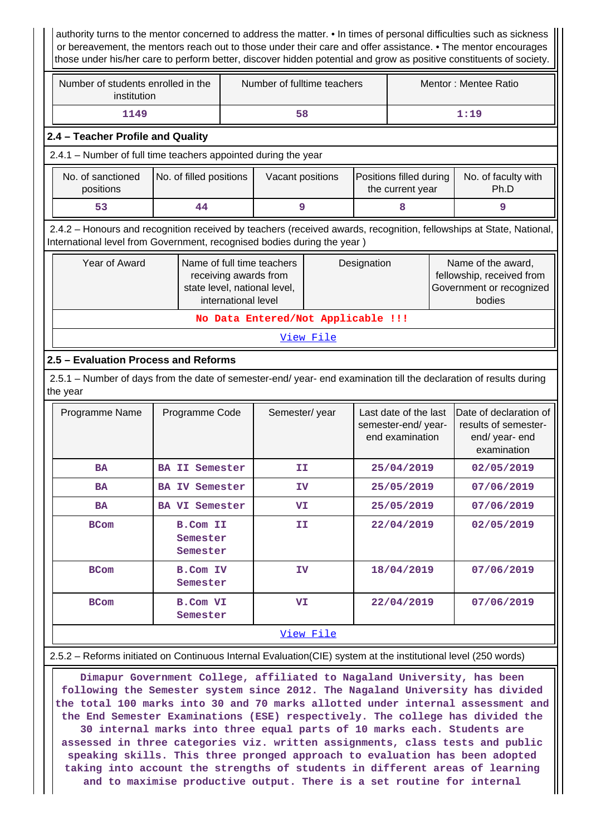authority turns to the mentor concerned to address the matter. • In times of personal difficulties such as sickness or bereavement, the mentors reach out to those under their care and offer assistance. • The mentor encourages those under his/her care to perform better, discover hidden potential and grow as positive constituents of society.

| Number of students enrolled in the<br>institution | Number of fulltime teachers | Mentor: Mentee Ratio |  |  |
|---------------------------------------------------|-----------------------------|----------------------|--|--|
| 1149                                              | 58                          | 1:19                 |  |  |

### **2.4 – Teacher Profile and Quality**

2.4.1 – Number of full time teachers appointed during the year

| No. of sanctioned<br>positions | No. of filled positions | Vacant positions | <b>Positions filled during</b><br>the current vear | No. of faculty with<br>Ph.D |
|--------------------------------|-------------------------|------------------|----------------------------------------------------|-----------------------------|
|                                | 44                      |                  |                                                    |                             |

 2.4.2 – Honours and recognition received by teachers (received awards, recognition, fellowships at State, National, International level from Government, recognised bodies during the year )

| Year of Award | Name of full time teachers<br>receiving awards from<br>state level, national level,<br>international level | Designation | Name of the award,<br>fellowship, received from<br>Government or recognized<br>bodies |
|---------------|------------------------------------------------------------------------------------------------------------|-------------|---------------------------------------------------------------------------------------|
|               |                                                                                                            |             |                                                                                       |

**No Data Entered/Not Applicable !!!**

[View File](https://assessmentonline.naac.gov.in/public/Postacc/Honours_recieved/1262_Honours_recieved_1573113724.xlsx)

## **2.5 – Evaluation Process and Reforms**

 2.5.1 – Number of days from the date of semester-end/ year- end examination till the declaration of results during the year

| Programme Name | Programme Code                          | Semester/year | Last date of the last<br>semester-end/year-<br>end examination | Date of declaration of<br>results of semester-<br>end/ year- end<br>examination |
|----------------|-----------------------------------------|---------------|----------------------------------------------------------------|---------------------------------------------------------------------------------|
| <b>BA</b>      | <b>BA II Semester</b>                   | II            | 25/04/2019                                                     | 02/05/2019                                                                      |
| <b>BA</b>      | <b>BA IV Semester</b>                   | IV            | 25/05/2019                                                     | 07/06/2019                                                                      |
| <b>BA</b>      | <b>BA VI Semester</b>                   | VI            | 25/05/2019                                                     | 07/06/2019                                                                      |
| <b>BCom</b>    | <b>B.Com II</b><br>Semester<br>Semester | II            | 22/04/2019                                                     | 02/05/2019                                                                      |
| <b>BCom</b>    | <b>B.Com IV</b><br>Semester             | <b>IV</b>     | 18/04/2019                                                     | 07/06/2019                                                                      |
| <b>BCom</b>    | <b>B.Com VI</b><br>Semester             | VI            | 22/04/2019                                                     | 07/06/2019                                                                      |
|                |                                         | View File     |                                                                |                                                                                 |

## 2.5.2 – Reforms initiated on Continuous Internal Evaluation(CIE) system at the institutional level (250 words)

 **Dimapur Government College, affiliated to Nagaland University, has been following the Semester system since 2012. The Nagaland University has divided the total 100 marks into 30 and 70 marks allotted under internal assessment and the End Semester Examinations (ESE) respectively. The college has divided the 30 internal marks into three equal parts of 10 marks each. Students are assessed in three categories viz. written assignments, class tests and public speaking skills. This three pronged approach to evaluation has been adopted taking into account the strengths of students in different areas of learning and to maximise productive output. There is a set routine for internal**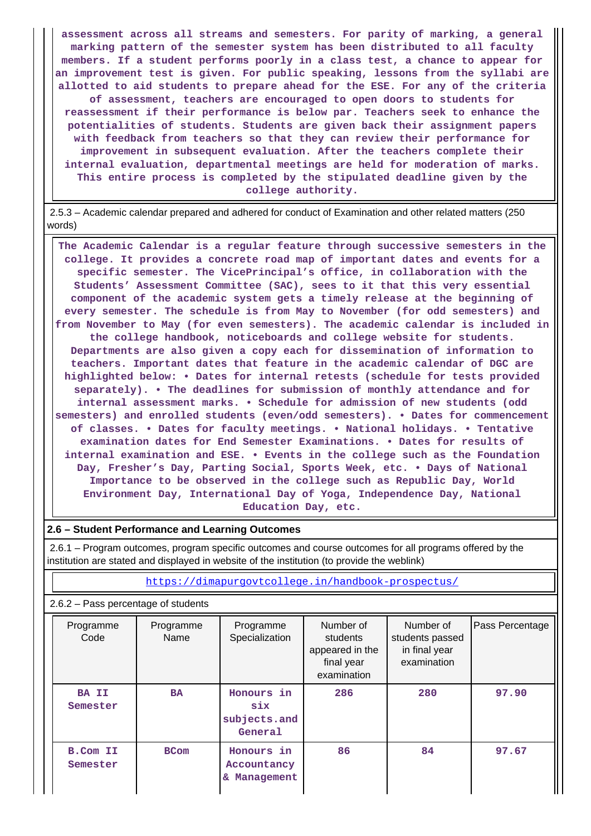**assessment across all streams and semesters. For parity of marking, a general marking pattern of the semester system has been distributed to all faculty members. If a student performs poorly in a class test, a chance to appear for an improvement test is given. For public speaking, lessons from the syllabi are allotted to aid students to prepare ahead for the ESE. For any of the criteria of assessment, teachers are encouraged to open doors to students for reassessment if their performance is below par. Teachers seek to enhance the potentialities of students. Students are given back their assignment papers with feedback from teachers so that they can review their performance for improvement in subsequent evaluation. After the teachers complete their internal evaluation, departmental meetings are held for moderation of marks. This entire process is completed by the stipulated deadline given by the college authority.**

 2.5.3 – Academic calendar prepared and adhered for conduct of Examination and other related matters (250 words)

 **The Academic Calendar is a regular feature through successive semesters in the college. It provides a concrete road map of important dates and events for a specific semester. The VicePrincipal's office, in collaboration with the Students' Assessment Committee (SAC), sees to it that this very essential component of the academic system gets a timely release at the beginning of every semester. The schedule is from May to November (for odd semesters) and from November to May (for even semesters). The academic calendar is included in the college handbook, noticeboards and college website for students. Departments are also given a copy each for dissemination of information to teachers. Important dates that feature in the academic calendar of DGC are highlighted below: • Dates for internal retests (schedule for tests provided separately). • The deadlines for submission of monthly attendance and for internal assessment marks. • Schedule for admission of new students (odd semesters) and enrolled students (even/odd semesters). • Dates for commencement of classes. • Dates for faculty meetings. • National holidays. • Tentative examination dates for End Semester Examinations. • Dates for results of internal examination and ESE. • Events in the college such as the Foundation Day, Fresher's Day, Parting Social, Sports Week, etc. • Days of National Importance to be observed in the college such as Republic Day, World Environment Day, International Day of Yoga, Independence Day, National Education Day, etc.**

### **2.6 – Student Performance and Learning Outcomes**

 2.6.1 – Program outcomes, program specific outcomes and course outcomes for all programs offered by the institution are stated and displayed in website of the institution (to provide the weblink)

| $2.6.2$ – Pass percentage of students |                   |                                               |                                                                       |                                                              |                 |  |  |  |  |  |  |
|---------------------------------------|-------------------|-----------------------------------------------|-----------------------------------------------------------------------|--------------------------------------------------------------|-----------------|--|--|--|--|--|--|
| Programme<br>Code                     | Programme<br>Name | Programme<br>Specialization                   | Number of<br>students<br>appeared in the<br>final year<br>examination | Number of<br>students passed<br>in final year<br>examination | Pass Percentage |  |  |  |  |  |  |
| <b>BA II</b><br>Semester              | <b>BA</b>         | Honours in<br>six<br>subjects.and<br>General  | 286                                                                   | 280                                                          | 97.90           |  |  |  |  |  |  |
| <b>B.Com II</b><br>Semester           | <b>BCom</b>       | Honours in<br>Accountancy<br>Management<br>&. | 86                                                                    | 84                                                           | 97.67           |  |  |  |  |  |  |

<https://dimapurgovtcollege.in/handbook-prospectus/>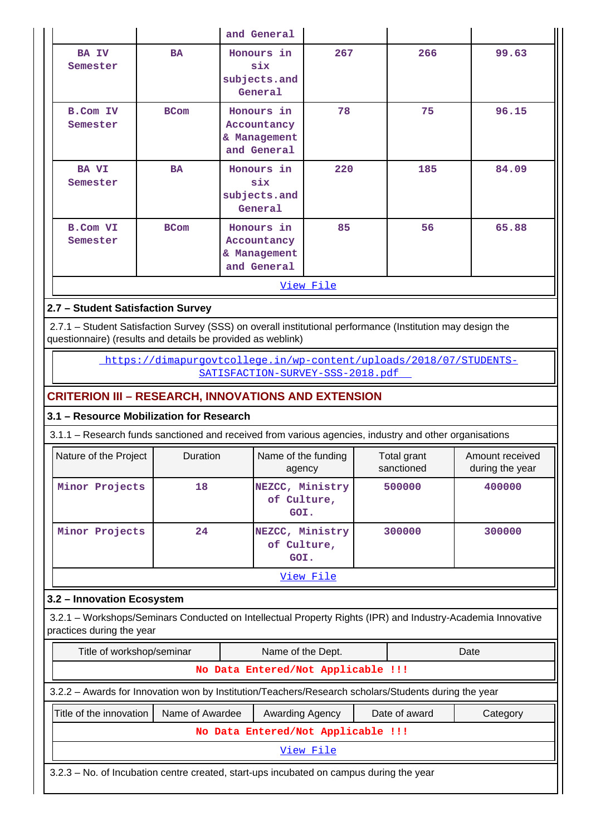|                                                                                                                                                                           |                                                                               | and General                                                                                            |                  |  |                           |                                                                                                             |  |  |  |  |  |
|---------------------------------------------------------------------------------------------------------------------------------------------------------------------------|-------------------------------------------------------------------------------|--------------------------------------------------------------------------------------------------------|------------------|--|---------------------------|-------------------------------------------------------------------------------------------------------------|--|--|--|--|--|
| <b>BA IV</b><br>Semester                                                                                                                                                  | <b>BA</b>                                                                     | Honours in<br>six<br>subjects.and<br>General                                                           | 267              |  | 266                       | 99.63                                                                                                       |  |  |  |  |  |
| <b>B.Com IV</b><br>Semester                                                                                                                                               | <b>BCom</b>                                                                   |                                                                                                        | 78               |  | 75                        | 96.15                                                                                                       |  |  |  |  |  |
| <b>BA VI</b><br>Semester                                                                                                                                                  | <b>BA</b>                                                                     | Honours in<br>six<br>subjects.and<br>General                                                           | 220              |  | 185                       | 84.09                                                                                                       |  |  |  |  |  |
| <b>B.Com VI</b><br>Semester                                                                                                                                               | 85<br>Honours in<br><b>BCom</b><br>Accountancy<br>& Management<br>and General |                                                                                                        |                  |  | 56                        | 65.88                                                                                                       |  |  |  |  |  |
| <u>View File</u>                                                                                                                                                          |                                                                               |                                                                                                        |                  |  |                           |                                                                                                             |  |  |  |  |  |
| 2.7 - Student Satisfaction Survey                                                                                                                                         |                                                                               |                                                                                                        |                  |  |                           |                                                                                                             |  |  |  |  |  |
|                                                                                                                                                                           |                                                                               |                                                                                                        |                  |  |                           |                                                                                                             |  |  |  |  |  |
| 2.7.1 - Student Satisfaction Survey (SSS) on overall institutional performance (Institution may design the<br>questionnaire) (results and details be provided as weblink) |                                                                               |                                                                                                        |                  |  |                           |                                                                                                             |  |  |  |  |  |
| https://dimapurgovtcollege.in/wp-content/uploads/2018/07/STUDENTS-                                                                                                        |                                                                               |                                                                                                        |                  |  |                           |                                                                                                             |  |  |  |  |  |
| SATISFACTION-SURVEY-SSS-2018.pdf                                                                                                                                          |                                                                               |                                                                                                        |                  |  |                           |                                                                                                             |  |  |  |  |  |
| <b>CRITERION III - RESEARCH, INNOVATIONS AND EXTENSION</b>                                                                                                                |                                                                               |                                                                                                        |                  |  |                           |                                                                                                             |  |  |  |  |  |
|                                                                                                                                                                           |                                                                               |                                                                                                        |                  |  |                           |                                                                                                             |  |  |  |  |  |
|                                                                                                                                                                           | 3.1 - Resource Mobilization for Research                                      |                                                                                                        |                  |  |                           |                                                                                                             |  |  |  |  |  |
|                                                                                                                                                                           |                                                                               | 3.1.1 – Research funds sanctioned and received from various agencies, industry and other organisations |                  |  |                           |                                                                                                             |  |  |  |  |  |
| Nature of the Project                                                                                                                                                     | Duration                                                                      | Name of the funding<br>agency                                                                          |                  |  | Total grant<br>sanctioned | Amount received<br>during the year                                                                          |  |  |  |  |  |
| Minor Projects                                                                                                                                                            | 18                                                                            | NEZCC, Ministry<br>of Culture,<br>GOI.                                                                 |                  |  | 500000                    | 400000                                                                                                      |  |  |  |  |  |
| Minor Projects                                                                                                                                                            | 24                                                                            | NEZCC, Ministry<br>of Culture,<br>GOI.                                                                 |                  |  | 300000                    | 300000                                                                                                      |  |  |  |  |  |
|                                                                                                                                                                           |                                                                               |                                                                                                        | View File        |  |                           |                                                                                                             |  |  |  |  |  |
|                                                                                                                                                                           |                                                                               |                                                                                                        |                  |  |                           |                                                                                                             |  |  |  |  |  |
| 3.2 - Innovation Ecosystem<br>practices during the year                                                                                                                   |                                                                               |                                                                                                        |                  |  |                           | 3.2.1 - Workshops/Seminars Conducted on Intellectual Property Rights (IPR) and Industry-Academia Innovative |  |  |  |  |  |
|                                                                                                                                                                           | Title of workshop/seminar                                                     | Name of the Dept.                                                                                      |                  |  |                           | Date                                                                                                        |  |  |  |  |  |
|                                                                                                                                                                           |                                                                               | No Data Entered/Not Applicable !!!                                                                     |                  |  |                           |                                                                                                             |  |  |  |  |  |
|                                                                                                                                                                           |                                                                               | 3.2.2 - Awards for Innovation won by Institution/Teachers/Research scholars/Students during the year   |                  |  |                           |                                                                                                             |  |  |  |  |  |
| Title of the innovation                                                                                                                                                   | Name of Awardee                                                               | Awarding Agency                                                                                        |                  |  | Date of award             | Category                                                                                                    |  |  |  |  |  |
|                                                                                                                                                                           |                                                                               | No Data Entered/Not Applicable !!!                                                                     |                  |  |                           |                                                                                                             |  |  |  |  |  |
|                                                                                                                                                                           |                                                                               |                                                                                                        | <u>View File</u> |  |                           |                                                                                                             |  |  |  |  |  |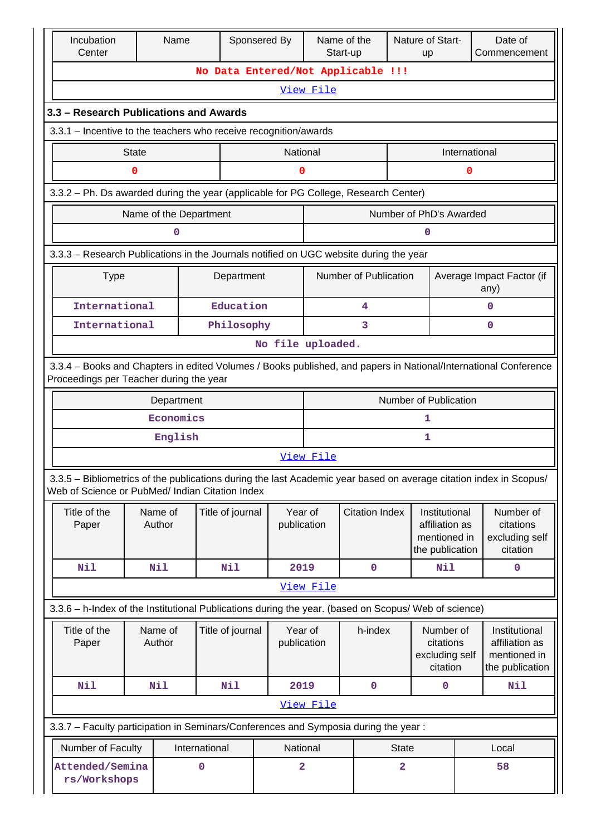|  | Incubation<br>Center                                                                                                                                       |              | Name                   |                  | Sponsered By                       |                          | Name of the<br>Start-up |                         | Nature of Start-<br>Date of<br>up |                 | Commencement                                                                                                       |  |
|--|------------------------------------------------------------------------------------------------------------------------------------------------------------|--------------|------------------------|------------------|------------------------------------|--------------------------|-------------------------|-------------------------|-----------------------------------|-----------------|--------------------------------------------------------------------------------------------------------------------|--|
|  |                                                                                                                                                            |              |                        |                  | No Data Entered/Not Applicable !!! |                          |                         |                         |                                   |                 |                                                                                                                    |  |
|  |                                                                                                                                                            |              |                        |                  |                                    | View File                |                         |                         |                                   |                 |                                                                                                                    |  |
|  | 3.3 - Research Publications and Awards                                                                                                                     |              |                        |                  |                                    |                          |                         |                         |                                   |                 |                                                                                                                    |  |
|  | 3.3.1 – Incentive to the teachers who receive recognition/awards                                                                                           |              |                        |                  |                                    |                          |                         |                         |                                   |                 |                                                                                                                    |  |
|  |                                                                                                                                                            | <b>State</b> |                        |                  |                                    | National                 |                         |                         |                                   | International   |                                                                                                                    |  |
|  |                                                                                                                                                            | 0            |                        |                  |                                    | 0                        |                         |                         |                                   | 0               |                                                                                                                    |  |
|  | 3.3.2 - Ph. Ds awarded during the year (applicable for PG College, Research Center)                                                                        |              |                        |                  |                                    |                          |                         |                         |                                   |                 |                                                                                                                    |  |
|  |                                                                                                                                                            |              | Name of the Department |                  |                                    |                          |                         |                         | Number of PhD's Awarded           |                 |                                                                                                                    |  |
|  |                                                                                                                                                            |              | 0                      |                  |                                    |                          |                         |                         | 0                                 |                 |                                                                                                                    |  |
|  | 3.3.3 - Research Publications in the Journals notified on UGC website during the year                                                                      |              |                        |                  |                                    |                          |                         |                         |                                   |                 |                                                                                                                    |  |
|  | <b>Type</b>                                                                                                                                                |              |                        | Department       |                                    |                          | Number of Publication   |                         |                                   |                 | Average Impact Factor (if                                                                                          |  |
|  |                                                                                                                                                            |              |                        |                  |                                    |                          |                         |                         |                                   |                 | any)                                                                                                               |  |
|  | International                                                                                                                                              |              |                        | Education        |                                    |                          | 4                       |                         |                                   |                 | 0                                                                                                                  |  |
|  | International                                                                                                                                              |              |                        | Philosophy       |                                    |                          | 3                       |                         |                                   |                 | 0                                                                                                                  |  |
|  | No file uploaded.                                                                                                                                          |              |                        |                  |                                    |                          |                         |                         |                                   |                 |                                                                                                                    |  |
|  | 3.3.4 - Books and Chapters in edited Volumes / Books published, and papers in National/International Conference<br>Proceedings per Teacher during the year |              |                        |                  |                                    |                          |                         |                         |                                   |                 |                                                                                                                    |  |
|  | Number of Publication<br>Department                                                                                                                        |              |                        |                  |                                    |                          |                         |                         |                                   |                 |                                                                                                                    |  |
|  |                                                                                                                                                            |              | Economics              |                  |                                    |                          |                         |                         | 1                                 |                 |                                                                                                                    |  |
|  |                                                                                                                                                            |              | English                |                  |                                    |                          |                         |                         | 1                                 |                 |                                                                                                                    |  |
|  |                                                                                                                                                            |              |                        |                  |                                    | View File                |                         |                         |                                   |                 |                                                                                                                    |  |
|  | Web of Science or PubMed/ Indian Citation Index                                                                                                            |              |                        |                  |                                    |                          |                         |                         |                                   |                 | 3.3.5 - Bibliometrics of the publications during the last Academic year based on average citation index in Scopus/ |  |
|  | Title of the                                                                                                                                               |              | Name of                | Title of journal |                                    | Year of                  | <b>Citation Index</b>   |                         | Institutional                     |                 | Number of                                                                                                          |  |
|  | Paper                                                                                                                                                      |              | Author                 |                  |                                    | publication              |                         |                         | affiliation as<br>mentioned in    |                 | citations<br>excluding self                                                                                        |  |
|  |                                                                                                                                                            |              |                        |                  |                                    |                          |                         |                         | the publication                   |                 | citation                                                                                                           |  |
|  | Nil                                                                                                                                                        |              | Nil                    | Nil              |                                    | 2019                     | $\mathbf 0$             |                         | Nil                               |                 | $\mathbf 0$                                                                                                        |  |
|  |                                                                                                                                                            |              |                        |                  |                                    | View File                |                         |                         |                                   |                 |                                                                                                                    |  |
|  | 3.3.6 - h-Index of the Institutional Publications during the year. (based on Scopus/ Web of science)                                                       |              |                        |                  |                                    |                          |                         |                         |                                   |                 |                                                                                                                    |  |
|  | Title of the                                                                                                                                               |              | Name of<br>Author      | Title of journal |                                    | Year of                  | h-index                 |                         | Number of                         |                 | Institutional                                                                                                      |  |
|  | Paper                                                                                                                                                      |              |                        |                  |                                    | publication              |                         |                         | citations<br>excluding self       |                 | affiliation as<br>mentioned in                                                                                     |  |
|  |                                                                                                                                                            |              |                        |                  |                                    |                          |                         | citation                |                                   | the publication |                                                                                                                    |  |
|  | Nil                                                                                                                                                        |              | Nil                    | Nil              |                                    | 2019                     | $\mathbf 0$             |                         | 0                                 |                 | Nil                                                                                                                |  |
|  |                                                                                                                                                            |              |                        |                  |                                    | View File                |                         |                         |                                   |                 |                                                                                                                    |  |
|  | 3.3.7 - Faculty participation in Seminars/Conferences and Symposia during the year:                                                                        |              |                        |                  |                                    |                          |                         |                         |                                   |                 |                                                                                                                    |  |
|  | Number of Faculty<br>International                                                                                                                         |              |                        |                  |                                    | National<br><b>State</b> |                         |                         |                                   | Local           |                                                                                                                    |  |
|  | Attended/Semina<br>rs/Workshops                                                                                                                            |              |                        | 0                |                                    | 2                        |                         | $\overline{\mathbf{2}}$ |                                   |                 | 58                                                                                                                 |  |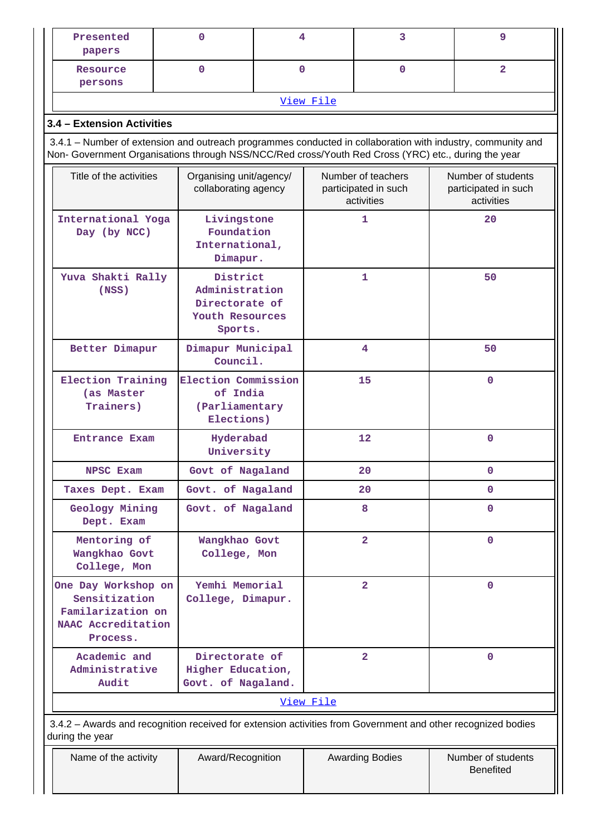| Presented<br>papers                                                                                                                                                                                                | 0                                                                                           | 4           |           | 3                                                        | 9                                                        |  |  |  |  |  |  |
|--------------------------------------------------------------------------------------------------------------------------------------------------------------------------------------------------------------------|---------------------------------------------------------------------------------------------|-------------|-----------|----------------------------------------------------------|----------------------------------------------------------|--|--|--|--|--|--|
| Resource<br>persons                                                                                                                                                                                                | $\mathbf 0$                                                                                 | $\mathbf 0$ |           | $\mathbf 0$                                              | $\overline{2}$                                           |  |  |  |  |  |  |
|                                                                                                                                                                                                                    |                                                                                             |             | View File |                                                          |                                                          |  |  |  |  |  |  |
| 3.4 - Extension Activities                                                                                                                                                                                         |                                                                                             |             |           |                                                          |                                                          |  |  |  |  |  |  |
| 3.4.1 – Number of extension and outreach programmes conducted in collaboration with industry, community and<br>Non- Government Organisations through NSS/NCC/Red cross/Youth Red Cross (YRC) etc., during the year |                                                                                             |             |           |                                                          |                                                          |  |  |  |  |  |  |
| Title of the activities                                                                                                                                                                                            | Organising unit/agency/<br>collaborating agency                                             |             |           | Number of teachers<br>participated in such<br>activities | Number of students<br>participated in such<br>activities |  |  |  |  |  |  |
| International Yoga<br>Day (by NCC)                                                                                                                                                                                 | Livingstone<br>Foundation<br>International,<br>Dimapur.                                     |             |           | $\mathbf{1}$                                             | 20                                                       |  |  |  |  |  |  |
| Yuva Shakti Rally<br>(NSS)                                                                                                                                                                                         | District<br>Administration<br>Directorate of<br>Youth Resources<br>Sports.                  |             |           | 1                                                        | 50                                                       |  |  |  |  |  |  |
| Better Dimapur                                                                                                                                                                                                     | Dimapur Municipal<br>Council.                                                               |             |           | 4                                                        | 50                                                       |  |  |  |  |  |  |
| (as Master<br>Trainers)                                                                                                                                                                                            | Election Commission<br><b>Election Training</b><br>of India<br>(Parliamentary<br>Elections) |             |           | 15                                                       | $\mathbf 0$                                              |  |  |  |  |  |  |
| Entrance Exam                                                                                                                                                                                                      | Hyderabad<br>University                                                                     |             |           | 12                                                       | 0                                                        |  |  |  |  |  |  |
| NPSC Exam                                                                                                                                                                                                          | Govt of Nagaland                                                                            |             |           | 20                                                       | 0                                                        |  |  |  |  |  |  |
| Taxes Dept. Exam                                                                                                                                                                                                   | Govt. of Nagaland                                                                           |             |           | 20                                                       | 0                                                        |  |  |  |  |  |  |
| Geology Mining<br>Dept. Exam                                                                                                                                                                                       | Govt. of Nagaland                                                                           |             |           | 8                                                        | 0                                                        |  |  |  |  |  |  |
| Mentoring of<br>Wangkhao Govt<br>College, Mon                                                                                                                                                                      | Wangkhao Govt<br>College, Mon                                                               |             |           | $\overline{a}$                                           | 0                                                        |  |  |  |  |  |  |
| One Day Workshop on<br>Sensitization<br>Familarization on<br>NAAC Accreditation<br>Process.                                                                                                                        | Yemhi Memorial<br>College, Dimapur.                                                         |             |           | $\overline{2}$                                           | 0                                                        |  |  |  |  |  |  |
| Academic and<br>Administrative<br>Audit                                                                                                                                                                            | Directorate of<br>$\overline{2}$<br>Higher Education,<br>Govt. of Nagaland.                 |             |           |                                                          | 0                                                        |  |  |  |  |  |  |
|                                                                                                                                                                                                                    |                                                                                             |             | View File |                                                          |                                                          |  |  |  |  |  |  |
| 3.4.2 - Awards and recognition received for extension activities from Government and other recognized bodies<br>during the year                                                                                    |                                                                                             |             |           |                                                          |                                                          |  |  |  |  |  |  |
| Name of the activity                                                                                                                                                                                               | Award/Recognition                                                                           |             |           | <b>Awarding Bodies</b>                                   | Number of students<br><b>Benefited</b>                   |  |  |  |  |  |  |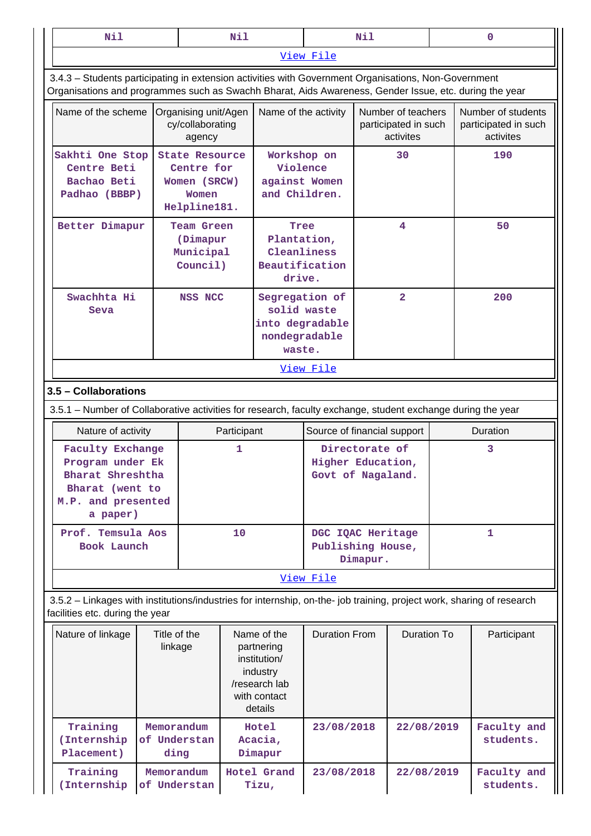| Nil                                                                                                                                                                                                            |                                    |                                                                              | Nil                                                                         |                                                                                                   |                                                          | Nil                                                     |                    |    |     | $\mathbf 0$                                             |  |     |
|----------------------------------------------------------------------------------------------------------------------------------------------------------------------------------------------------------------|------------------------------------|------------------------------------------------------------------------------|-----------------------------------------------------------------------------|---------------------------------------------------------------------------------------------------|----------------------------------------------------------|---------------------------------------------------------|--------------------|----|-----|---------------------------------------------------------|--|-----|
|                                                                                                                                                                                                                |                                    |                                                                              |                                                                             |                                                                                                   | View File                                                |                                                         |                    |    |     |                                                         |  |     |
| 3.4.3 - Students participating in extension activities with Government Organisations, Non-Government<br>Organisations and programmes such as Swachh Bharat, Aids Awareness, Gender Issue, etc. during the year |                                    |                                                                              |                                                                             |                                                                                                   |                                                          |                                                         |                    |    |     |                                                         |  |     |
| Name of the scheme                                                                                                                                                                                             |                                    | Organising unit/Agen<br>cy/collaborating<br>agency                           |                                                                             | Name of the activity                                                                              |                                                          | Number of teachers<br>participated in such<br>activites |                    |    |     | Number of students<br>participated in such<br>activites |  |     |
| Sakhti One Stop<br>Centre Beti<br>Bachao Beti<br>Padhao (BBBP)                                                                                                                                                 |                                    | <b>State Resource</b><br>Centre for<br>Women (SRCW)<br>Women<br>Helpline181. |                                                                             | Workshop on<br>Violence<br>against Women<br>and Children.                                         |                                                          |                                                         |                    | 30 |     |                                                         |  | 190 |
| Better Dimapur                                                                                                                                                                                                 |                                    | <b>Team Green</b><br>(Dimapur<br>Municipal<br>Council)                       |                                                                             | Tree<br>Plantation,<br>Cleanliness<br>Beautification<br>drive.                                    |                                                          | 4                                                       |                    |    |     | 50                                                      |  |     |
| Swachhta Hi<br>Seva                                                                                                                                                                                            |                                    | NSS NCC                                                                      | Segregation of<br>solid waste<br>into degradable<br>nondegradable<br>waste. |                                                                                                   | $\overline{2}$                                           |                                                         |                    |    | 200 |                                                         |  |     |
|                                                                                                                                                                                                                |                                    |                                                                              |                                                                             |                                                                                                   | View File                                                |                                                         |                    |    |     |                                                         |  |     |
| 3.5 - Collaborations                                                                                                                                                                                           |                                    |                                                                              |                                                                             |                                                                                                   |                                                          |                                                         |                    |    |     |                                                         |  |     |
| 3.5.1 - Number of Collaborative activities for research, faculty exchange, student exchange during the year                                                                                                    |                                    |                                                                              |                                                                             |                                                                                                   |                                                          |                                                         |                    |    |     |                                                         |  |     |
| Nature of activity                                                                                                                                                                                             |                                    |                                                                              | Participant                                                                 |                                                                                                   | Source of financial support                              |                                                         |                    |    |     | Duration                                                |  |     |
| <b>Faculty Exchange</b><br>Program under Ek<br>Bharat Shreshtha<br>Bharat (went to<br>M.P. and presented<br>a paper)                                                                                           |                                    |                                                                              | 1                                                                           |                                                                                                   | Directorate of<br>Higher Education,<br>Govt of Nagaland. |                                                         | 3                  |    |     |                                                         |  |     |
| Prof. Temsula Aos<br>Book Launch                                                                                                                                                                               |                                    |                                                                              | 10                                                                          |                                                                                                   |                                                          | DGC IQAC Heritage<br>Publishing House,<br>Dimapur.      |                    |    |     | 1                                                       |  |     |
|                                                                                                                                                                                                                |                                    |                                                                              |                                                                             |                                                                                                   | View File                                                |                                                         |                    |    |     |                                                         |  |     |
| 3.5.2 - Linkages with institutions/industries for internship, on-the- job training, project work, sharing of research<br>facilities etc. during the year                                                       |                                    |                                                                              |                                                                             |                                                                                                   |                                                          |                                                         |                    |    |     |                                                         |  |     |
| Nature of linkage                                                                                                                                                                                              | Title of the<br>linkage            |                                                                              |                                                                             | Name of the<br>partnering<br>institution/<br>industry<br>/research lab<br>with contact<br>details | <b>Duration From</b>                                     |                                                         | <b>Duration To</b> |    |     | Participant                                             |  |     |
| Training<br>(Internship<br>Placement)                                                                                                                                                                          | Memorandum<br>of Understan         |                                                                              | Hotel<br>Acacia,<br>Dimapur                                                 |                                                                                                   | 23/08/2018                                               |                                                         | 22/08/2019         |    |     | Faculty and<br>students.                                |  |     |
| Training<br>(Internship                                                                                                                                                                                        | ding<br>Memorandum<br>of Understan |                                                                              |                                                                             | Hotel Grand<br>Tizu,                                                                              | 23/08/2018                                               |                                                         | 22/08/2019         |    |     | Faculty and<br>students.                                |  |     |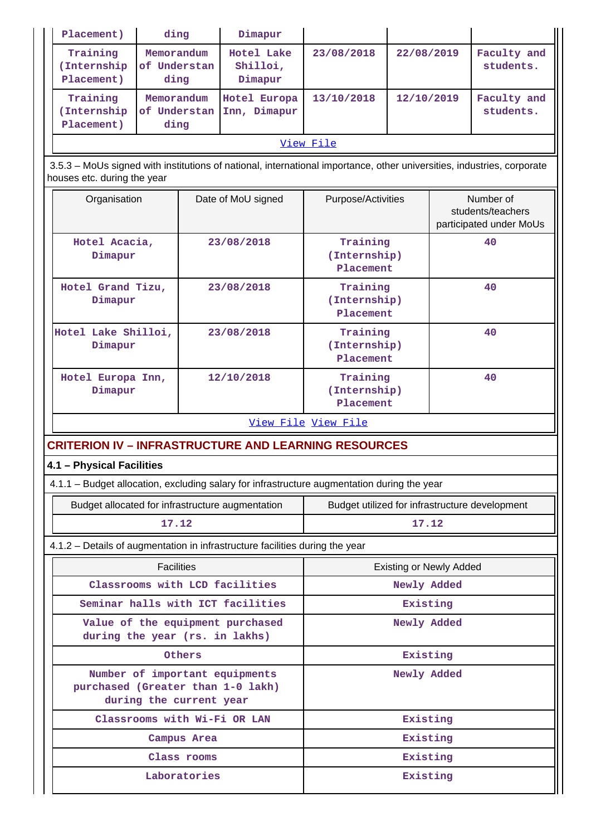| Placement)                                                                                                                                            | ding                               |              | Dimapur                           |                                                |                                |    |                                                           |  |
|-------------------------------------------------------------------------------------------------------------------------------------------------------|------------------------------------|--------------|-----------------------------------|------------------------------------------------|--------------------------------|----|-----------------------------------------------------------|--|
| Training<br>(Internship<br>Placement)                                                                                                                 | Memorandum<br>of Understan<br>ding |              | Hotel Lake<br>Shilloi,<br>Dimapur | 23/08/2018                                     | 22/08/2019                     |    | Faculty and<br>students.                                  |  |
| Training<br>(Internship<br>Placement)                                                                                                                 | Memorandum<br>of Understan<br>ding |              | Hotel Europa<br>Inn, Dimapur      | 13/10/2018                                     | 12/10/2019                     |    | Faculty and<br>students.                                  |  |
|                                                                                                                                                       |                                    |              |                                   | View File                                      |                                |    |                                                           |  |
| 3.5.3 - MoUs signed with institutions of national, international importance, other universities, industries, corporate<br>houses etc. during the year |                                    |              |                                   |                                                |                                |    |                                                           |  |
| Organisation                                                                                                                                          |                                    |              | Date of MoU signed                | Purpose/Activities                             |                                |    | Number of<br>students/teachers<br>participated under MoUs |  |
| Hotel Acacia,<br>Dimapur                                                                                                                              |                                    |              | 23/08/2018                        | Training<br>(Internship)<br>Placement          |                                |    | 40                                                        |  |
| Hotel Grand Tizu,<br>Dimapur                                                                                                                          |                                    |              | 23/08/2018                        | Training<br>(Internship)<br>Placement          |                                |    | 40                                                        |  |
| Hotel Lake Shilloi,<br>Dimapur                                                                                                                        |                                    |              | 23/08/2018                        | Training<br>(Internship)<br>Placement          |                                | 40 |                                                           |  |
| Hotel Europa Inn,<br>Dimapur                                                                                                                          |                                    |              | 12/10/2018                        | Training<br>(Internship)<br>Placement          |                                | 40 |                                                           |  |
|                                                                                                                                                       |                                    |              |                                   | View File View File                            |                                |    |                                                           |  |
| <b>CRITERION IV - INFRASTRUCTURE AND LEARNING RESOURCES</b>                                                                                           |                                    |              |                                   |                                                |                                |    |                                                           |  |
| 4.1 - Physical Facilities                                                                                                                             |                                    |              |                                   |                                                |                                |    |                                                           |  |
| 4.1.1 - Budget allocation, excluding salary for infrastructure augmentation during the year                                                           |                                    |              |                                   |                                                |                                |    |                                                           |  |
| Budget allocated for infrastructure augmentation                                                                                                      |                                    |              |                                   | Budget utilized for infrastructure development |                                |    |                                                           |  |
|                                                                                                                                                       | 17.12                              |              |                                   | 17.12                                          |                                |    |                                                           |  |
| 4.1.2 - Details of augmentation in infrastructure facilities during the year                                                                          |                                    |              |                                   |                                                |                                |    |                                                           |  |
|                                                                                                                                                       | <b>Facilities</b>                  |              |                                   |                                                | <b>Existing or Newly Added</b> |    |                                                           |  |
|                                                                                                                                                       |                                    |              | Classrooms with LCD facilities    |                                                | Newly Added                    |    |                                                           |  |
|                                                                                                                                                       |                                    |              | Seminar halls with ICT facilities |                                                | Existing                       |    |                                                           |  |
| during the year (rs. in lakhs)                                                                                                                        |                                    |              | Value of the equipment purchased  |                                                | Newly Added                    |    |                                                           |  |
|                                                                                                                                                       |                                    | Others       |                                   |                                                | Existing                       |    |                                                           |  |
| purchased (Greater than 1-0 lakh)                                                                                                                     | during the current year            |              | Number of important equipments    |                                                | Newly Added                    |    |                                                           |  |
|                                                                                                                                                       |                                    |              | Classrooms with Wi-Fi OR LAN      | Existing                                       |                                |    |                                                           |  |
|                                                                                                                                                       |                                    | Campus Area  |                                   | Existing                                       |                                |    |                                                           |  |
|                                                                                                                                                       |                                    | Class rooms  |                                   | Existing                                       |                                |    |                                                           |  |
|                                                                                                                                                       |                                    | Laboratories |                                   |                                                | Existing                       |    |                                                           |  |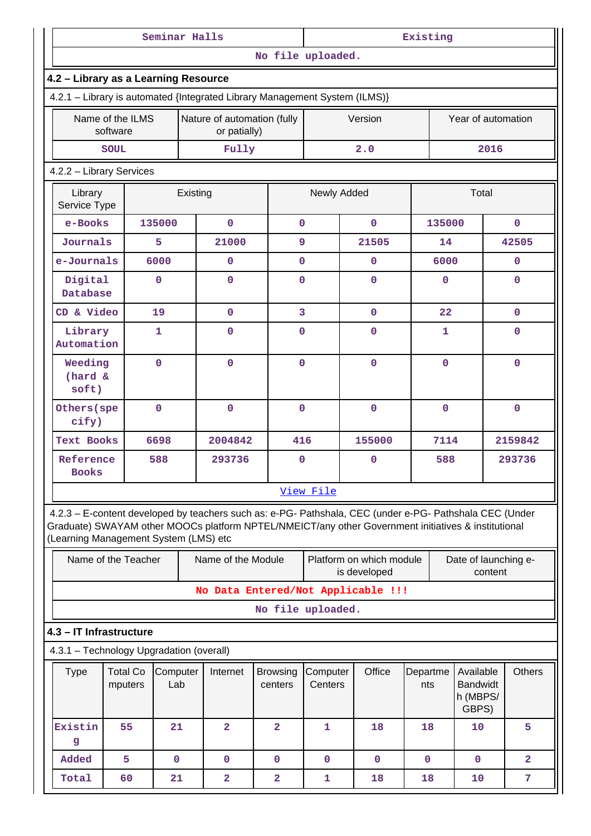|                                                                                                                                                                                                                                                         |                                                                            | Seminar Halls   |          |                                             |                            | Existing            |                                          |                 |             |                                                   |                |  |  |
|---------------------------------------------------------------------------------------------------------------------------------------------------------------------------------------------------------------------------------------------------------|----------------------------------------------------------------------------|-----------------|----------|---------------------------------------------|----------------------------|---------------------|------------------------------------------|-----------------|-------------|---------------------------------------------------|----------------|--|--|
|                                                                                                                                                                                                                                                         |                                                                            |                 |          |                                             | No file uploaded.          |                     |                                          |                 |             |                                                   |                |  |  |
|                                                                                                                                                                                                                                                         | 4.2 - Library as a Learning Resource                                       |                 |          |                                             |                            |                     |                                          |                 |             |                                                   |                |  |  |
|                                                                                                                                                                                                                                                         | 4.2.1 - Library is automated {Integrated Library Management System (ILMS)} |                 |          |                                             |                            |                     |                                          |                 |             |                                                   |                |  |  |
|                                                                                                                                                                                                                                                         | Name of the ILMS<br>software                                               |                 |          | Nature of automation (fully<br>or patially) |                            |                     | Version                                  |                 |             | Year of automation                                |                |  |  |
|                                                                                                                                                                                                                                                         | <b>SOUL</b>                                                                |                 |          | Fully                                       |                            |                     | 2.0                                      |                 |             | 2016                                              |                |  |  |
|                                                                                                                                                                                                                                                         | 4.2.2 - Library Services                                                   |                 |          |                                             |                            |                     |                                          |                 |             |                                                   |                |  |  |
| Library<br>Service Type                                                                                                                                                                                                                                 |                                                                            |                 | Existing |                                             |                            | Newly Added         |                                          |                 |             | Total                                             |                |  |  |
| e-Books                                                                                                                                                                                                                                                 |                                                                            | 135000          |          | $\mathbf 0$                                 | $\mathbf{O}$               |                     | $\mathbf{O}$                             |                 | 135000      |                                                   | $\mathbf{0}$   |  |  |
| Journals                                                                                                                                                                                                                                                |                                                                            | 5               |          | 21000                                       | 9                          |                     | 21505                                    |                 | 14          |                                                   | 42505          |  |  |
| e-Journals                                                                                                                                                                                                                                              |                                                                            | 6000            |          | $\mathbf{0}$                                | $\mathbf{O}$               |                     | $\mathbf{O}$                             |                 | 6000        |                                                   | $\mathbf{0}$   |  |  |
| Digital<br>Database                                                                                                                                                                                                                                     |                                                                            | 0               |          | $\mathbf 0$                                 | $\Omega$                   |                     | 0                                        |                 | $\mathbf 0$ |                                                   | $\Omega$       |  |  |
| CD & Video                                                                                                                                                                                                                                              |                                                                            | 19              |          | $\mathbf{0}$                                | 3                          |                     | $\mathbf 0$                              |                 | 22          |                                                   | $\mathbf{0}$   |  |  |
| Library<br>Automation                                                                                                                                                                                                                                   |                                                                            | $\mathbf{1}$    |          | 0                                           | $\mathbf{O}$               |                     | $\mathbf{O}$                             |                 | 1           |                                                   | 0              |  |  |
| Weeding<br>(hard &<br>soft)                                                                                                                                                                                                                             |                                                                            | 0               |          | $\mathbf 0$<br>$\mathbf{O}$                 |                            |                     | $\mathbf{O}$                             |                 | $\mathbf 0$ |                                                   | $\Omega$       |  |  |
| Others (spe<br>cify)                                                                                                                                                                                                                                    |                                                                            | 0               |          | $\mathbf 0$                                 |                            | $\mathbf 0$         | $\mathbf{O}$                             |                 | $\mathbf 0$ |                                                   | $\mathbf 0$    |  |  |
| <b>Text Books</b>                                                                                                                                                                                                                                       |                                                                            | 6698            |          | 2004842                                     | 416                        |                     | 155000                                   |                 | 7114        |                                                   | 2159842        |  |  |
| Reference<br><b>Books</b>                                                                                                                                                                                                                               |                                                                            | 588             |          | 293736                                      | $\mathbf 0$                |                     | $\mathbf 0$                              |                 | 588         |                                                   | 293736         |  |  |
|                                                                                                                                                                                                                                                         |                                                                            |                 |          |                                             |                            | View File           |                                          |                 |             |                                                   |                |  |  |
| 4.2.3 - E-content developed by teachers such as: e-PG- Pathshala, CEC (under e-PG- Pathshala CEC (Under<br>Graduate) SWAYAM other MOOCs platform NPTEL/NMEICT/any other Government initiatives & institutional<br>(Learning Management System (LMS) etc |                                                                            |                 |          |                                             |                            |                     |                                          |                 |             |                                                   |                |  |  |
|                                                                                                                                                                                                                                                         | Name of the Teacher                                                        |                 |          | Name of the Module                          |                            |                     | Platform on which module<br>is developed |                 |             | Date of launching e-<br>content                   |                |  |  |
|                                                                                                                                                                                                                                                         |                                                                            |                 |          |                                             |                            |                     | No Data Entered/Not Applicable !!!       |                 |             |                                                   |                |  |  |
|                                                                                                                                                                                                                                                         |                                                                            |                 |          |                                             | No file uploaded.          |                     |                                          |                 |             |                                                   |                |  |  |
| 4.3 - IT Infrastructure                                                                                                                                                                                                                                 |                                                                            |                 |          |                                             |                            |                     |                                          |                 |             |                                                   |                |  |  |
| 4.3.1 - Technology Upgradation (overall)                                                                                                                                                                                                                |                                                                            |                 |          |                                             |                            |                     |                                          |                 |             |                                                   |                |  |  |
| <b>Type</b>                                                                                                                                                                                                                                             | <b>Total Co</b><br>mputers                                                 | Computer<br>Lab |          | Internet                                    | <b>Browsing</b><br>centers | Computer<br>Centers | Office                                   | Departme<br>nts |             | Available<br><b>Bandwidt</b><br>h (MBPS/<br>GBPS) | <b>Others</b>  |  |  |
| Existin<br>g                                                                                                                                                                                                                                            | 55                                                                         | 21              |          | $\overline{a}$                              | $\overline{2}$             | $\mathbf 1$         | 18                                       | 18              |             | 10                                                | 5              |  |  |
| Added                                                                                                                                                                                                                                                   | 5                                                                          | $\mathbf 0$     |          | $\mathbf{0}$                                | $\mathbf 0$                | $\mathbf 0$         | $\mathbf 0$                              | $\mathbf{0}$    |             | $\mathbf 0$                                       | $\overline{a}$ |  |  |
| Total                                                                                                                                                                                                                                                   | 60                                                                         | 21              |          | $\overline{2}$                              | $\overline{a}$             | $\mathbf 1$         | 18                                       | 18              |             | 10                                                | 7              |  |  |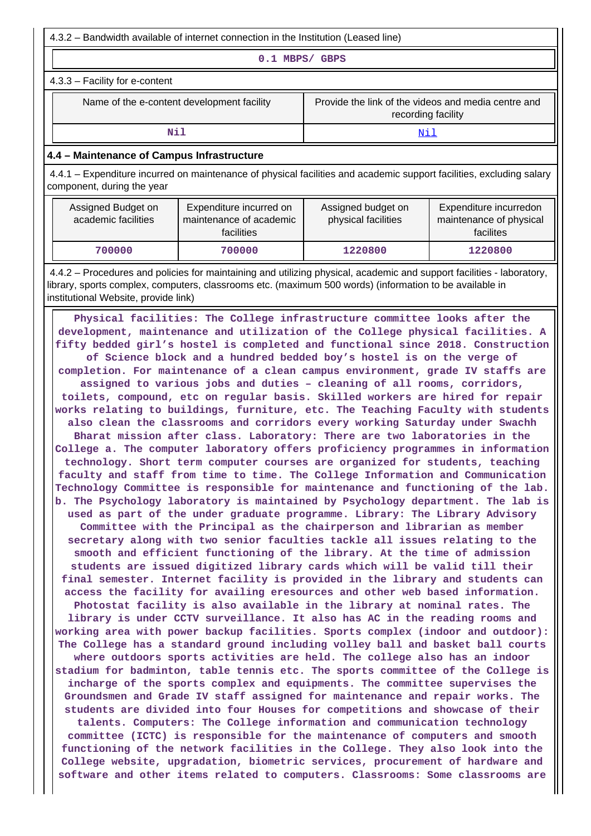4.3.2 – Bandwidth available of internet connection in the Institution (Leased line)

**0.1 MBPS/ GBPS**

4.3.3 – Facility for e-content

Name of the e-content development facility Frovide the link of the videos and media centre and recording facility

**Nil** <Nil>

## **4.4 – Maintenance of Campus Infrastructure**

 4.4.1 – Expenditure incurred on maintenance of physical facilities and academic support facilities, excluding salary component, during the year

| Assigned Budget on<br>academic facilities | Expenditure incurred on<br>maintenance of academic<br>facilities | Assigned budget on<br>physical facilities | Expenditure incurredon<br>maintenance of physical<br>facilites |
|-------------------------------------------|------------------------------------------------------------------|-------------------------------------------|----------------------------------------------------------------|
| 700000                                    | 700000                                                           | 1220800                                   | 1220800                                                        |

 4.4.2 – Procedures and policies for maintaining and utilizing physical, academic and support facilities - laboratory, library, sports complex, computers, classrooms etc. (maximum 500 words) (information to be available in institutional Website, provide link)

 **Physical facilities: The College infrastructure committee looks after the development, maintenance and utilization of the College physical facilities. A fifty bedded girl's hostel is completed and functional since 2018. Construction of Science block and a hundred bedded boy's hostel is on the verge of completion. For maintenance of a clean campus environment, grade IV staffs are assigned to various jobs and duties – cleaning of all rooms, corridors, toilets, compound, etc on regular basis. Skilled workers are hired for repair works relating to buildings, furniture, etc. The Teaching Faculty with students also clean the classrooms and corridors every working Saturday under Swachh Bharat mission after class. Laboratory: There are two laboratories in the College a. The computer laboratory offers proficiency programmes in information technology. Short term computer courses are organized for students, teaching faculty and staff from time to time. The College Information and Communication Technology Committee is responsible for maintenance and functioning of the lab. b. The Psychology laboratory is maintained by Psychology department. The lab is used as part of the under graduate programme. Library: The Library Advisory Committee with the Principal as the chairperson and librarian as member secretary along with two senior faculties tackle all issues relating to the smooth and efficient functioning of the library. At the time of admission students are issued digitized library cards which will be valid till their final semester. Internet facility is provided in the library and students can access the facility for availing eresources and other web based information. Photostat facility is also available in the library at nominal rates. The library is under CCTV surveillance. It also has AC in the reading rooms and working area with power backup facilities. Sports complex (indoor and outdoor): The College has a standard ground including volley ball and basket ball courts where outdoors sports activities are held. The college also has an indoor stadium for badminton, table tennis etc. The sports committee of the College is incharge of the sports complex and equipments. The committee supervises the Groundsmen and Grade IV staff assigned for maintenance and repair works. The students are divided into four Houses for competitions and showcase of their talents. Computers: The College information and communication technology committee (ICTC) is responsible for the maintenance of computers and smooth functioning of the network facilities in the College. They also look into the College website, upgradation, biometric services, procurement of hardware and software and other items related to computers. Classrooms: Some classrooms are**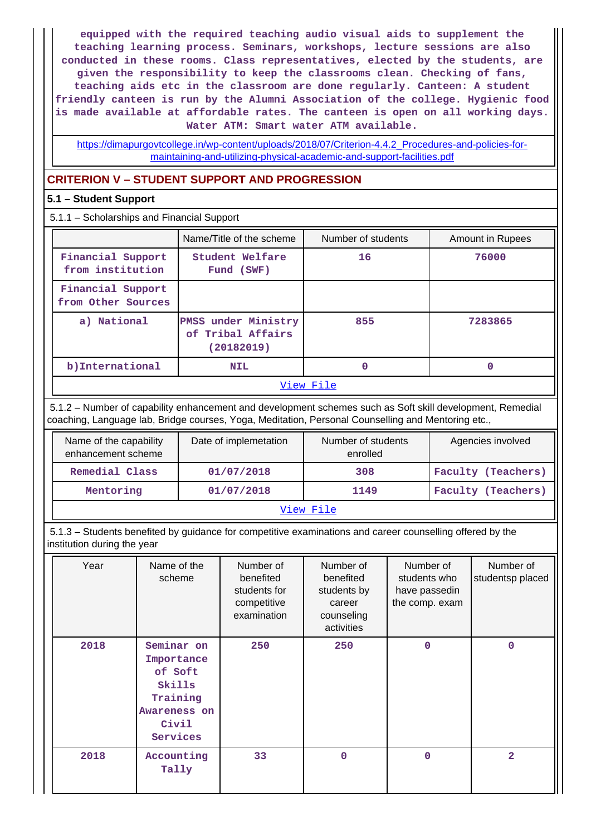**equipped with the required teaching audio visual aids to supplement the teaching learning process. Seminars, workshops, lecture sessions are also conducted in these rooms. Class representatives, elected by the students, are given the responsibility to keep the classrooms clean. Checking of fans, teaching aids etc in the classroom are done regularly. Canteen: A student friendly canteen is run by the Alumni Association of the college. Hygienic food is made available at affordable rates. The canteen is open on all working days. Water ATM: Smart water ATM available.**

[https://dimapurgovtcollege.in/wp-content/uploads/2018/07/Criterion-4.4.2\\_Procedures-and-policies-for](https://dimapurgovtcollege.in/wp-content/uploads/2018/07/Criterion-4.4.2_Procedures-and-policies-for-maintaining-and-utilizing-physical-academic-and-support-facilities.pdf)[maintaining-and-utilizing-physical-academic-and-support-facilities.pdf](https://dimapurgovtcollege.in/wp-content/uploads/2018/07/Criterion-4.4.2_Procedures-and-policies-for-maintaining-and-utilizing-physical-academic-and-support-facilities.pdf)

## **CRITERION V – STUDENT SUPPORT AND PROGRESSION**

## **5.1 – Student Support**

## 5.1.1 – Scholarships and Financial Support

|                                         | Name/Title of the scheme                               | Number of students | Amount in Rupees |
|-----------------------------------------|--------------------------------------------------------|--------------------|------------------|
| Financial Support<br>from institution   | Student Welfare<br>Fund (SWF)                          | 16                 | 76000            |
| Financial Support<br>from Other Sources |                                                        |                    |                  |
| a) National                             | PMSS under Ministry<br>of Tribal Affairs<br>(20182019) | 855                | 7283865          |
| b) International                        | <b>NIL</b>                                             | 0                  | 0                |
|                                         |                                                        | ステミ ココン・サロミ コーエー   |                  |

## [View File](https://assessmentonline.naac.gov.in/public/Postacc/Scholarships/1262_Scholarships_1569491297.xlsx)

 5.1.2 – Number of capability enhancement and development schemes such as Soft skill development, Remedial coaching, Language lab, Bridge courses, Yoga, Meditation, Personal Counselling and Mentoring etc.,

| Name of the capability<br>enhancement scheme | Date of implemetation | Number of students<br>enrolled | Agencies involved  |
|----------------------------------------------|-----------------------|--------------------------------|--------------------|
| Remedial Class                               | 01/07/2018            | 308                            | Faculty (Teachers) |
| Mentoring                                    | 01/07/2018            | 1149                           | Faculty (Teachers) |
|                                              |                       | View File                      |                    |

 5.1.3 – Students benefited by guidance for competitive examinations and career counselling offered by the institution during the year

| Year | Name of the<br>scheme                                                                          | Number of<br>benefited<br>students for<br>competitive<br>examination | Number of<br>benefited<br>students by<br>career<br>counseling<br>activities | Number of<br>students who<br>have passedin<br>the comp. exam | Number of<br>studentsp placed |
|------|------------------------------------------------------------------------------------------------|----------------------------------------------------------------------|-----------------------------------------------------------------------------|--------------------------------------------------------------|-------------------------------|
| 2018 | Seminar on<br>Importance<br>of Soft<br>Skills<br>Training<br>Awareness on<br>Civil<br>Services | 250                                                                  | 250                                                                         | $\mathbf 0$                                                  | 0                             |
| 2018 | Accounting<br>Tally                                                                            | 33                                                                   | $\mathbf 0$                                                                 | $\mathbf 0$                                                  | $\overline{a}$                |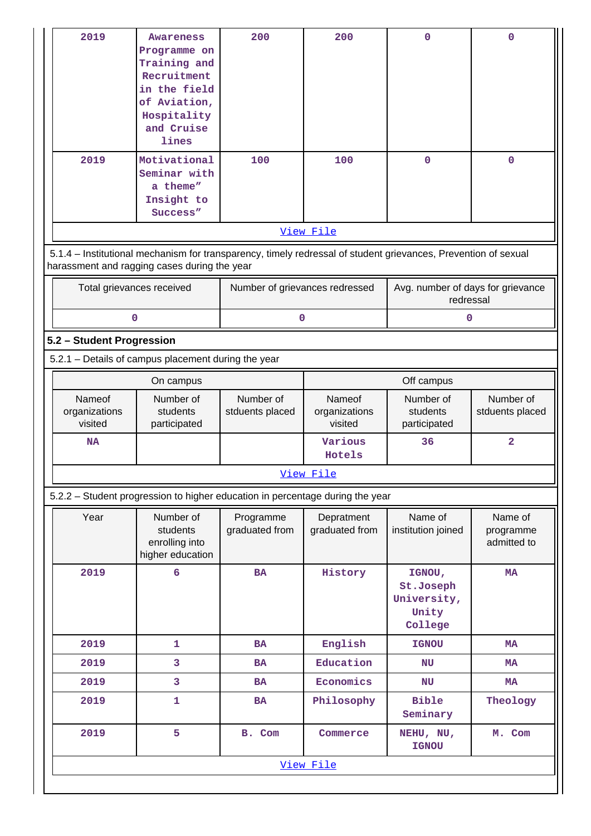| 2019<br>2019                                                                                                                                                   | <b>Awareness</b><br>Programme on<br>Training and<br>Recruitment<br>in the field<br>of Aviation,<br>Hospitality<br>and Cruise<br>lines<br>Motivational | 200<br>100                     | 200<br>100                         | 0<br>$\mathbf 0$                                       | $\mathbf 0$<br>$\mathbf 0$          |
|----------------------------------------------------------------------------------------------------------------------------------------------------------------|-------------------------------------------------------------------------------------------------------------------------------------------------------|--------------------------------|------------------------------------|--------------------------------------------------------|-------------------------------------|
|                                                                                                                                                                | Seminar with<br>a theme"<br>Insight to<br>Success"                                                                                                    |                                |                                    |                                                        |                                     |
|                                                                                                                                                                |                                                                                                                                                       |                                | View File                          |                                                        |                                     |
| 5.1.4 - Institutional mechanism for transparency, timely redressal of student grievances, Prevention of sexual<br>harassment and ragging cases during the year |                                                                                                                                                       |                                |                                    |                                                        |                                     |
| Total grievances received                                                                                                                                      |                                                                                                                                                       | Number of grievances redressed |                                    | Avg. number of days for grievance<br>redressal         |                                     |
| $\mathbf 0$                                                                                                                                                    |                                                                                                                                                       | 0                              |                                    | 0                                                      |                                     |
| 5.2 - Student Progression                                                                                                                                      |                                                                                                                                                       |                                |                                    |                                                        |                                     |
| 5.2.1 - Details of campus placement during the year                                                                                                            |                                                                                                                                                       |                                |                                    |                                                        |                                     |
|                                                                                                                                                                | On campus                                                                                                                                             |                                |                                    | Off campus                                             |                                     |
| Nameof<br>organizations<br>visited                                                                                                                             | Number of<br>students<br>participated                                                                                                                 | Number of<br>stduents placed   | Nameof<br>organizations<br>visited | Number of<br>students<br>participated                  | Number of<br>stduents placed        |
| NA                                                                                                                                                             |                                                                                                                                                       |                                | Various<br>Hotels                  | 36                                                     | 2                                   |
|                                                                                                                                                                |                                                                                                                                                       |                                | View File                          |                                                        |                                     |
| 5.2.2 - Student progression to higher education in percentage during the year                                                                                  |                                                                                                                                                       |                                |                                    |                                                        |                                     |
| Year                                                                                                                                                           | Number of<br>students<br>enrolling into<br>higher education                                                                                           | Programme<br>graduated from    | Depratment<br>graduated from       | Name of<br>institution joined                          | Name of<br>programme<br>admitted to |
| 2019                                                                                                                                                           | $6\overline{6}$                                                                                                                                       | <b>BA</b>                      | History                            | IGNOU,<br>St.Joseph<br>University,<br>Unity<br>College | <b>MA</b>                           |
| 2019                                                                                                                                                           | $\mathbf{1}$                                                                                                                                          | <b>BA</b>                      | English                            | <b>IGNOU</b>                                           | <b>MA</b>                           |
| 2019                                                                                                                                                           | 3                                                                                                                                                     | <b>BA</b>                      | Education                          | NU                                                     | <b>MA</b>                           |
| 2019                                                                                                                                                           | 3                                                                                                                                                     | <b>BA</b>                      | Economics                          | NU                                                     | <b>MA</b>                           |
| 2019                                                                                                                                                           | $\mathbf{1}$                                                                                                                                          | <b>BA</b>                      | Philosophy                         | <b>Bible</b><br>Seminary                               | Theology                            |
| 2019                                                                                                                                                           | 5                                                                                                                                                     | B. Com                         | Commerce                           | NEHU, NU,<br><b>IGNOU</b>                              | M. Com                              |
|                                                                                                                                                                |                                                                                                                                                       |                                | View File                          |                                                        |                                     |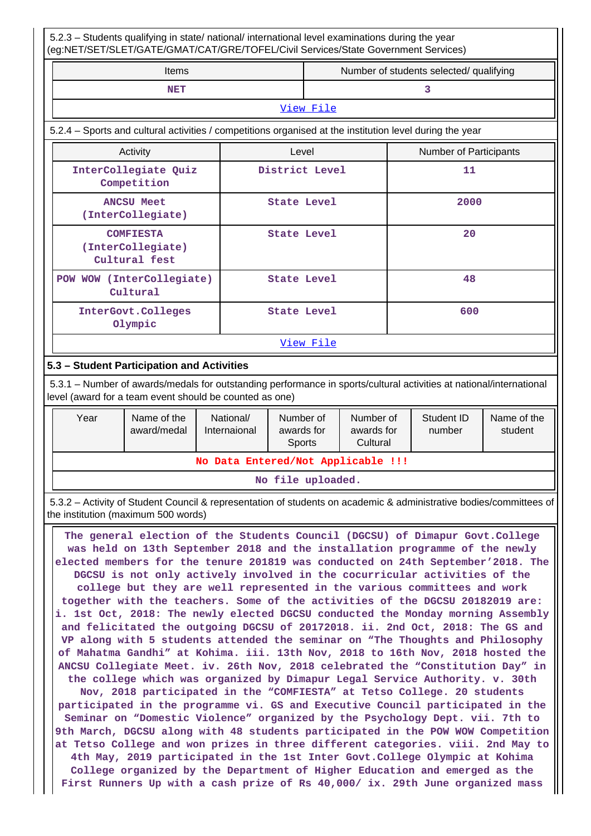5.2.3 – Students qualifying in state/ national/ international level examinations during the year (eg:NET/SET/SLET/GATE/GMAT/CAT/GRE/TOFEL/Civil Services/State Government Services) Items **Number of students selected/ qualifying NET** 3 [View File](https://assessmentonline.naac.gov.in/public/Postacc/Qualifying/1262_Qualifying_1569565781.xlsx) 5.2.4 – Sports and cultural activities / competitions organised at the institution level during the year Activity **Activity Level** Level **Number of Participants InterCollegiate Quiz Competition District Level 11 ANCSU Meet (InterCollegiate) State Level 2000 COMFIESTA (InterCollegiate) Cultural fest State Level 20 POW WOW (InterCollegiate) Cultural State Level 48 InterGovt.Colleges Olympic State Level 600** [View File](https://assessmentonline.naac.gov.in/public/Postacc/Activities_Organised/1262_Activities_Organised_1569566425.xlsx) **5.3 – Student Participation and Activities** 5.3.1 – Number of awards/medals for outstanding performance in sports/cultural activities at national/international level (award for a team event should be counted as one) Year | Name of the National/ Number of Number of Student ID Name of the

| Year | Name of the<br>award/medal | National/<br>Internaional | Number of<br>awards for<br><b>Sports</b> | Number of<br>awards for<br>Cultural | Student ID<br>number | Name of the<br>student |
|------|----------------------------|---------------------------|------------------------------------------|-------------------------------------|----------------------|------------------------|
|      |                            |                           | No Data Entered/Not Applicable !!!       |                                     |                      |                        |
|      |                            |                           | No file uploaded.                        |                                     |                      |                        |

 5.3.2 – Activity of Student Council & representation of students on academic & administrative bodies/committees of the institution (maximum 500 words)

 **The general election of the Students Council (DGCSU) of Dimapur Govt.College was held on 13th September 2018 and the installation programme of the newly elected members for the tenure 201819 was conducted on 24th September'2018. The DGCSU is not only actively involved in the cocurricular activities of the college but they are well represented in the various committees and work together with the teachers. Some of the activities of the DGCSU 20182019 are: i. 1st Oct, 2018: The newly elected DGCSU conducted the Monday morning Assembly and felicitated the outgoing DGCSU of 20172018. ii. 2nd Oct, 2018: The GS and VP along with 5 students attended the seminar on "The Thoughts and Philosophy of Mahatma Gandhi" at Kohima. iii. 13th Nov, 2018 to 16th Nov, 2018 hosted the ANCSU Collegiate Meet. iv. 26th Nov, 2018 celebrated the "Constitution Day" in the college which was organized by Dimapur Legal Service Authority. v. 30th Nov, 2018 participated in the "COMFIESTA" at Tetso College. 20 students participated in the programme vi. GS and Executive Council participated in the Seminar on "Domestic Violence" organized by the Psychology Dept. vii. 7th to 9th March, DGCSU along with 48 students participated in the POW WOW Competition at Tetso College and won prizes in three different categories. viii. 2nd May to 4th May, 2019 participated in the 1st Inter Govt.College Olympic at Kohima College organized by the Department of Higher Education and emerged as the First Runners Up with a cash prize of Rs 40,000/ ix. 29th June organized mass**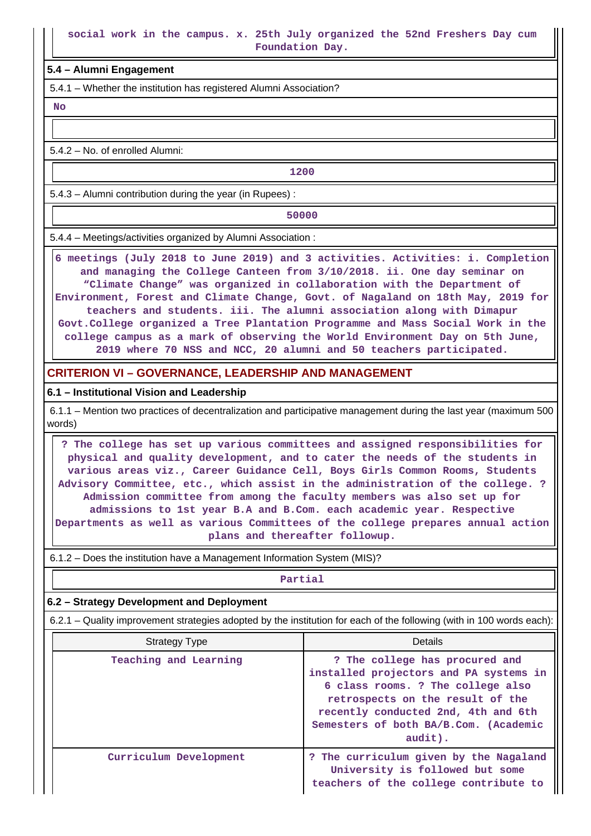**Foundation Day.**

## **5.4 – Alumni Engagement**

5.4.1 – Whether the institution has registered Alumni Association?

 **No**

5.4.2 – No. of enrolled Alumni:

**1200**

5.4.3 – Alumni contribution during the year (in Rupees) :

**1** 50000

5.4.4 – Meetings/activities organized by Alumni Association :

 **6 meetings (July 2018 to June 2019) and 3 activities. Activities: i. Completion and managing the College Canteen from 3/10/2018. ii. One day seminar on "Climate Change" was organized in collaboration with the Department of Environment, Forest and Climate Change, Govt. of Nagaland on 18th May, 2019 for teachers and students. iii. The alumni association along with Dimapur Govt.College organized a Tree Plantation Programme and Mass Social Work in the college campus as a mark of observing the World Environment Day on 5th June, 2019 where 70 NSS and NCC, 20 alumni and 50 teachers participated.**

## **CRITERION VI – GOVERNANCE, LEADERSHIP AND MANAGEMENT**

### **6.1 – Institutional Vision and Leadership**

 6.1.1 – Mention two practices of decentralization and participative management during the last year (maximum 500 words)

 **? The college has set up various committees and assigned responsibilities for physical and quality development, and to cater the needs of the students in various areas viz., Career Guidance Cell, Boys Girls Common Rooms, Students Advisory Committee, etc., which assist in the administration of the college. ? Admission committee from among the faculty members was also set up for admissions to 1st year B.A and B.Com. each academic year. Respective Departments as well as various Committees of the college prepares annual action plans and thereafter followup.**

6.1.2 – Does the institution have a Management Information System (MIS)?

#### **Partial**

### **6.2 – Strategy Development and Deployment**

6.2.1 – Quality improvement strategies adopted by the institution for each of the following (with in 100 words each):

| Strategy Type          | Details                                                                                                                                                                                                                                         |
|------------------------|-------------------------------------------------------------------------------------------------------------------------------------------------------------------------------------------------------------------------------------------------|
| Teaching and Learning  | ? The college has procured and<br>installed projectors and PA systems in<br>6 class rooms. ? The college also<br>retrospects on the result of the<br>recently conducted 2nd, 4th and 6th<br>Semesters of both BA/B.Com. (Academic<br>$audit)$ . |
| Curriculum Development | ? The curriculum given by the Nagaland<br>University is followed but some<br>teachers of the college contribute to                                                                                                                              |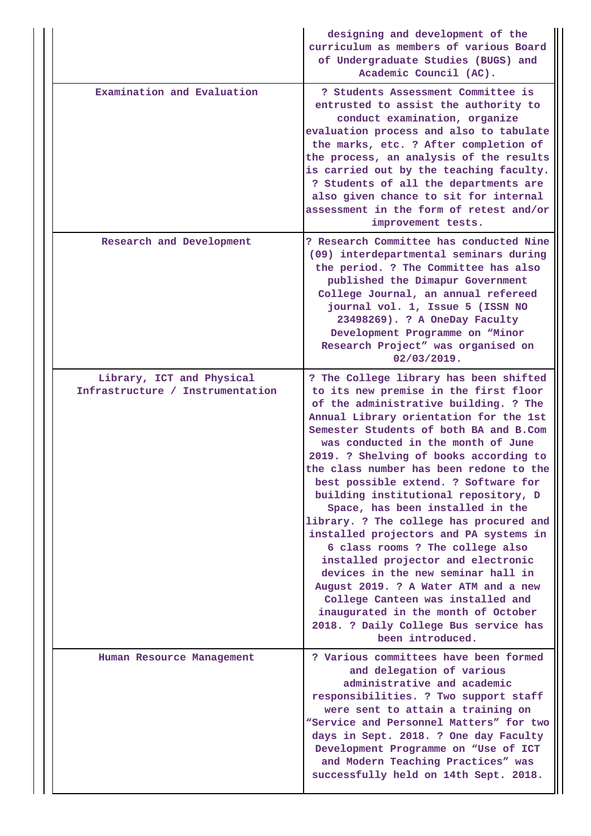|                                                               | designing and development of the<br>curriculum as members of various Board<br>of Undergraduate Studies (BUGS) and<br>Academic Council (AC).                                                                                                                                                                                                                                                                                                                                                                                                                                                                                                                                                                                                                                                                                                       |
|---------------------------------------------------------------|---------------------------------------------------------------------------------------------------------------------------------------------------------------------------------------------------------------------------------------------------------------------------------------------------------------------------------------------------------------------------------------------------------------------------------------------------------------------------------------------------------------------------------------------------------------------------------------------------------------------------------------------------------------------------------------------------------------------------------------------------------------------------------------------------------------------------------------------------|
| Examination and Evaluation                                    | ? Students Assessment Committee is<br>entrusted to assist the authority to<br>conduct examination, organize<br>evaluation process and also to tabulate<br>the marks, etc. ? After completion of<br>the process, an analysis of the results<br>is carried out by the teaching faculty.<br>? Students of all the departments are<br>also given chance to sit for internal<br>assessment in the form of retest and/or<br>improvement tests.                                                                                                                                                                                                                                                                                                                                                                                                          |
| Research and Development                                      | ? Research Committee has conducted Nine<br>(09) interdepartmental seminars during<br>the period. ? The Committee has also<br>published the Dimapur Government<br>College Journal, an annual refereed<br>journal vol. 1, Issue 5 (ISSN NO<br>23498269). ? A OneDay Faculty<br>Development Programme on "Minor<br>Research Project" was organised on<br>02/03/2019.                                                                                                                                                                                                                                                                                                                                                                                                                                                                                 |
| Library, ICT and Physical<br>Infrastructure / Instrumentation | ? The College library has been shifted<br>to its new premise in the first floor<br>of the administrative building. ? The<br>Annual Library orientation for the 1st<br>Semester Students of both BA and B.Com<br>was conducted in the month of June<br>2019. ? Shelving of books according to<br>the class number has been redone to the<br>best possible extend. ? Software for<br>building institutional repository, D<br>Space, has been installed in the<br>library. ? The college has procured and<br>installed projectors and PA systems in<br>6 class rooms ? The college also<br>installed projector and electronic<br>devices in the new seminar hall in<br>August 2019. ? A Water ATM and a new<br>College Canteen was installed and<br>inaugurated in the month of October<br>2018. ? Daily College Bus service has<br>been introduced. |
| Human Resource Management                                     | ? Various committees have been formed<br>and delegation of various<br>administrative and academic<br>responsibilities. ? Two support staff<br>were sent to attain a training on<br>"Service and Personnel Matters" for two<br>days in Sept. 2018. ? One day Faculty<br>Development Programme on "Use of ICT<br>and Modern Teaching Practices" was<br>successfully held on 14th Sept. 2018.                                                                                                                                                                                                                                                                                                                                                                                                                                                        |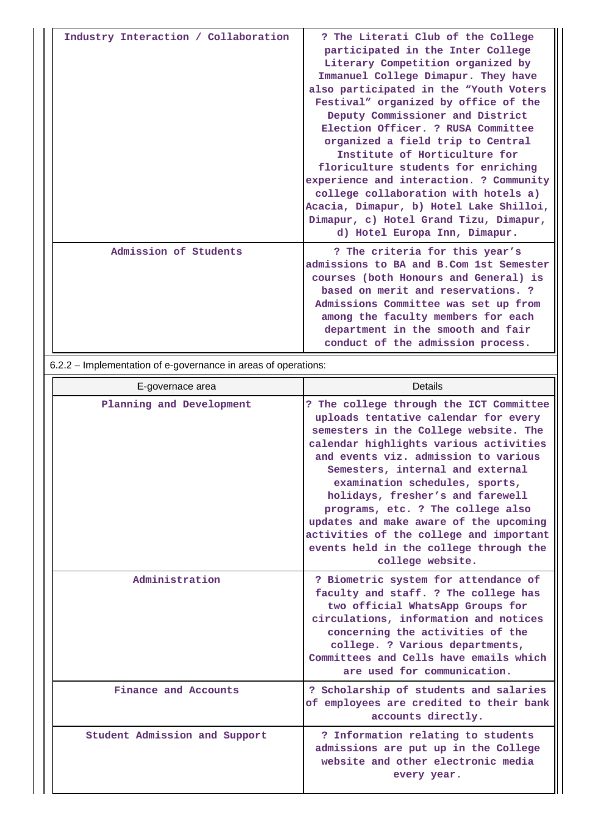| Industry Interaction / Collaboration | ? The Literati Club of the College<br>participated in the Inter College<br>Literary Competition organized by<br>Immanuel College Dimapur. They have<br>also participated in the "Youth Voters<br>Festival" organized by office of the<br>Deputy Commissioner and District<br>Election Officer. ? RUSA Committee<br>organized a field trip to Central<br>Institute of Horticulture for<br>floriculture students for enriching<br>experience and interaction. ? Community<br>college collaboration with hotels a)<br>Acacia, Dimapur, b) Hotel Lake Shilloi,<br>Dimapur, c) Hotel Grand Tizu, Dimapur,<br>d) Hotel Europa Inn, Dimapur. |
|--------------------------------------|---------------------------------------------------------------------------------------------------------------------------------------------------------------------------------------------------------------------------------------------------------------------------------------------------------------------------------------------------------------------------------------------------------------------------------------------------------------------------------------------------------------------------------------------------------------------------------------------------------------------------------------|
| Admission of Students                | ? The criteria for this year's<br>admissions to BA and B.Com 1st Semester<br>courses (both Honours and General) is<br>based on merit and reservations. ?<br>Admissions Committee was set up from<br>among the faculty members for each<br>department in the smooth and fair<br>conduct of the admission process.                                                                                                                                                                                                                                                                                                                      |

6.2.2 – Implementation of e-governance in areas of operations:

| E-governace area              | Details                                                                                                                                                                                                                                                                                                                                                                                                                                                                                                      |
|-------------------------------|--------------------------------------------------------------------------------------------------------------------------------------------------------------------------------------------------------------------------------------------------------------------------------------------------------------------------------------------------------------------------------------------------------------------------------------------------------------------------------------------------------------|
| Planning and Development      | ? The college through the ICT Committee<br>uploads tentative calendar for every<br>semesters in the College website. The<br>calendar highlights various activities<br>and events viz. admission to various<br>Semesters, internal and external<br>examination schedules, sports,<br>holidays, fresher's and farewell<br>programs, etc. ? The college also<br>updates and make aware of the upcoming<br>activities of the college and important<br>events held in the college through the<br>college website. |
| Administration                | ? Biometric system for attendance of<br>faculty and staff. ? The college has<br>two official WhatsApp Groups for<br>circulations, information and notices<br>concerning the activities of the<br>college. ? Various departments,<br>Committees and Cells have emails which<br>are used for communication.                                                                                                                                                                                                    |
| Finance and Accounts          | ? Scholarship of students and salaries<br>of employees are credited to their bank<br>accounts directly.                                                                                                                                                                                                                                                                                                                                                                                                      |
| Student Admission and Support | ? Information relating to students<br>admissions are put up in the College<br>website and other electronic media<br>every year.                                                                                                                                                                                                                                                                                                                                                                              |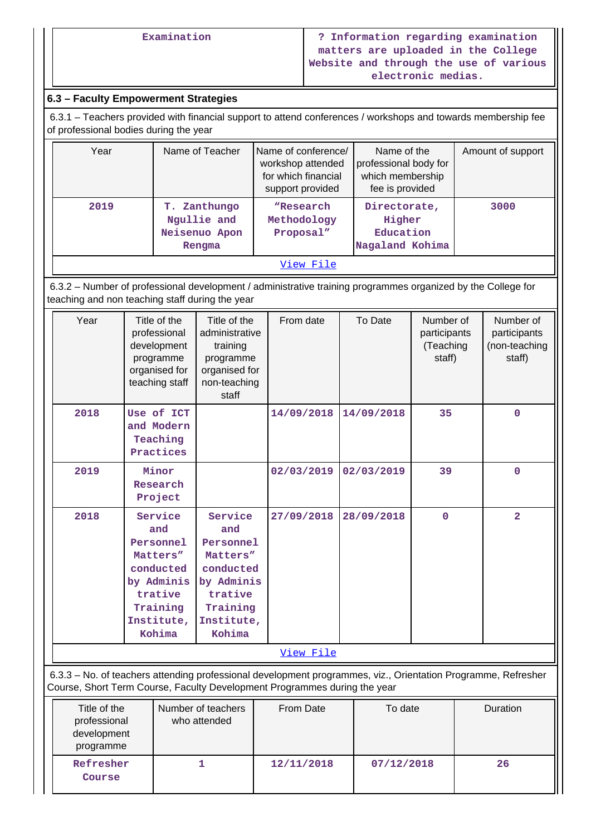## **6.3 – Faculty Empowerment Strategies**

**Course**

 6.3.1 – Teachers provided with financial support to attend conferences / workshops and towards membership fee of professional bodies during the year

| Year | Name of Teacher                                        | Name of conference/<br>workshop attended<br>for which financial | Name of the<br>professional body for<br>which membership | Amount of support |
|------|--------------------------------------------------------|-----------------------------------------------------------------|----------------------------------------------------------|-------------------|
|      |                                                        | support provided                                                | fee is provided                                          |                   |
| 2019 | T. Zanthungo<br>Ngullie and<br>Neisenuo Apon<br>Rengma | "Research<br>Methodology<br>Proposal"                           | Directorate,<br>Higher<br>Education<br>Nagaland Kohima   | 3000              |
|      |                                                        | View File                                                       |                                                          |                   |

 6.3.2 – Number of professional development / administrative training programmes organized by the College for teaching and non teaching staff during the year

| Year                                                     | Title of the<br>professional<br>development<br>programme<br>organised for<br>teaching staff                       | Title of the<br>administrative<br>training<br>programme<br>organised for<br>non-teaching                          | From date                                                                                                                                                                                  | To Date    | Number of<br>participants<br>(Teaching<br>staff) | Number of<br>participants<br>(non-teaching<br>staff) |
|----------------------------------------------------------|-------------------------------------------------------------------------------------------------------------------|-------------------------------------------------------------------------------------------------------------------|--------------------------------------------------------------------------------------------------------------------------------------------------------------------------------------------|------------|--------------------------------------------------|------------------------------------------------------|
|                                                          |                                                                                                                   | staff                                                                                                             |                                                                                                                                                                                            |            |                                                  |                                                      |
| 2018                                                     | Use of ICT<br>and Modern<br>Teaching<br>Practices                                                                 |                                                                                                                   | 14/09/2018                                                                                                                                                                                 | 14/09/2018 | 35                                               | $\mathbf 0$                                          |
| 2019                                                     | Minor<br>Research<br>Project                                                                                      |                                                                                                                   | 02/03/2019                                                                                                                                                                                 | 02/03/2019 | 39                                               | $\Omega$                                             |
| 2018                                                     | Service<br>and<br>Personnel<br>Matters"<br>conducted<br>by Adminis<br>trative<br>Training<br>Institute,<br>Kohima | Service<br>and<br>Personnel<br>Matters"<br>conducted<br>by Adminis<br>trative<br>Training<br>Institute,<br>Kohima | 27/09/2018                                                                                                                                                                                 | 28/09/2018 | 0                                                | $\overline{2}$                                       |
|                                                          |                                                                                                                   |                                                                                                                   | View File                                                                                                                                                                                  |            |                                                  |                                                      |
|                                                          |                                                                                                                   |                                                                                                                   | 6.3.3 - No. of teachers attending professional development programmes, viz., Orientation Programme, Refresher<br>Course, Short Term Course, Faculty Development Programmes during the year |            |                                                  |                                                      |
| Title of the<br>professional<br>development<br>programme |                                                                                                                   | Number of teachers<br>who attended                                                                                | From Date                                                                                                                                                                                  | To date    |                                                  | Duration                                             |
| Refresher                                                |                                                                                                                   | 1                                                                                                                 | 12/11/2018                                                                                                                                                                                 | 07/12/2018 |                                                  | 26                                                   |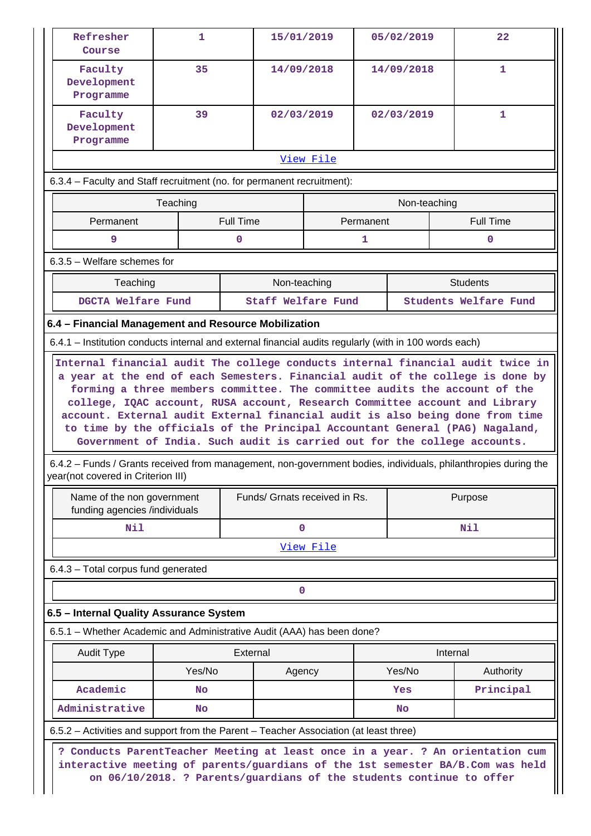| Refresher<br>Course                                                                                                                                                                                                                                                                     | 1        | 15/01/2019                                                                                                                                             |            |           | 05/02/2019   |          | 22                                                                             |
|-----------------------------------------------------------------------------------------------------------------------------------------------------------------------------------------------------------------------------------------------------------------------------------------|----------|--------------------------------------------------------------------------------------------------------------------------------------------------------|------------|-----------|--------------|----------|--------------------------------------------------------------------------------|
| Faculty<br>Development<br>Programme                                                                                                                                                                                                                                                     | 35       |                                                                                                                                                        | 14/09/2018 |           | 14/09/2018   |          | 1                                                                              |
| Faculty<br>Development<br>Programme                                                                                                                                                                                                                                                     | 39       |                                                                                                                                                        | 02/03/2019 |           | 02/03/2019   |          | 1                                                                              |
|                                                                                                                                                                                                                                                                                         |          |                                                                                                                                                        | View File  |           |              |          |                                                                                |
| 6.3.4 – Faculty and Staff recruitment (no. for permanent recruitment):                                                                                                                                                                                                                  |          |                                                                                                                                                        |            |           |              |          |                                                                                |
|                                                                                                                                                                                                                                                                                         | Teaching |                                                                                                                                                        |            |           | Non-teaching |          |                                                                                |
| Permanent                                                                                                                                                                                                                                                                               |          | <b>Full Time</b>                                                                                                                                       |            | Permanent |              |          | <b>Full Time</b>                                                               |
| 9                                                                                                                                                                                                                                                                                       |          | $\mathbf 0$                                                                                                                                            |            | 1         |              |          | $\mathbf 0$                                                                    |
| $6.3.5$ – Welfare schemes for                                                                                                                                                                                                                                                           |          |                                                                                                                                                        |            |           |              |          |                                                                                |
| Teaching                                                                                                                                                                                                                                                                                |          | Non-teaching                                                                                                                                           |            |           |              |          | <b>Students</b>                                                                |
| DGCTA Welfare Fund                                                                                                                                                                                                                                                                      |          | Staff Welfare Fund                                                                                                                                     |            |           |              |          | Students Welfare Fund                                                          |
| 6.4 - Financial Management and Resource Mobilization                                                                                                                                                                                                                                    |          |                                                                                                                                                        |            |           |              |          |                                                                                |
| 6.4.1 – Institution conducts internal and external financial audits regularly (with in 100 words each)                                                                                                                                                                                  |          |                                                                                                                                                        |            |           |              |          |                                                                                |
| college, IQAC account, RUSA account, Research Committee account and Library<br>account. External audit External financial audit is also being done from time<br>to time by the officials of the Principal Accountant General (PAG) Nagaland,                                            |          | forming a three members committee. The committee audits the account of the<br>Government of India. Such audit is carried out for the college accounts. |            |           |              |          | a year at the end of each Semesters. Financial audit of the college is done by |
| 6.4.2 – Funds / Grants received from management, non-government bodies, individuals, philanthropies during the<br>Name of the non government                                                                                                                                            |          | Funds/ Grnats received in Rs.                                                                                                                          |            |           |              |          | Purpose                                                                        |
| funding agencies /individuals                                                                                                                                                                                                                                                           |          |                                                                                                                                                        |            |           |              |          |                                                                                |
| Nil                                                                                                                                                                                                                                                                                     |          | $\mathbf 0$                                                                                                                                            |            |           |              |          | Nil                                                                            |
|                                                                                                                                                                                                                                                                                         |          |                                                                                                                                                        | View File  |           |              |          |                                                                                |
|                                                                                                                                                                                                                                                                                         |          |                                                                                                                                                        |            |           |              |          |                                                                                |
|                                                                                                                                                                                                                                                                                         |          |                                                                                                                                                        | 0          |           |              |          |                                                                                |
|                                                                                                                                                                                                                                                                                         |          |                                                                                                                                                        |            |           |              |          |                                                                                |
|                                                                                                                                                                                                                                                                                         |          |                                                                                                                                                        |            |           |              |          |                                                                                |
| <b>Audit Type</b>                                                                                                                                                                                                                                                                       |          | External                                                                                                                                               |            |           |              | Internal |                                                                                |
|                                                                                                                                                                                                                                                                                         | Yes/No   | Agency                                                                                                                                                 |            |           | Yes/No       |          | Authority                                                                      |
| Academic                                                                                                                                                                                                                                                                                | No       |                                                                                                                                                        |            |           | Yes          |          | Principal                                                                      |
| Administrative                                                                                                                                                                                                                                                                          | No       |                                                                                                                                                        |            |           | No           |          |                                                                                |
| year(not covered in Criterion III)<br>6.4.3 - Total corpus fund generated<br>6.5 - Internal Quality Assurance System<br>6.5.1 - Whether Academic and Administrative Audit (AAA) has been done?<br>6.5.2 – Activities and support from the Parent – Teacher Association (at least three) |          |                                                                                                                                                        |            |           |              |          |                                                                                |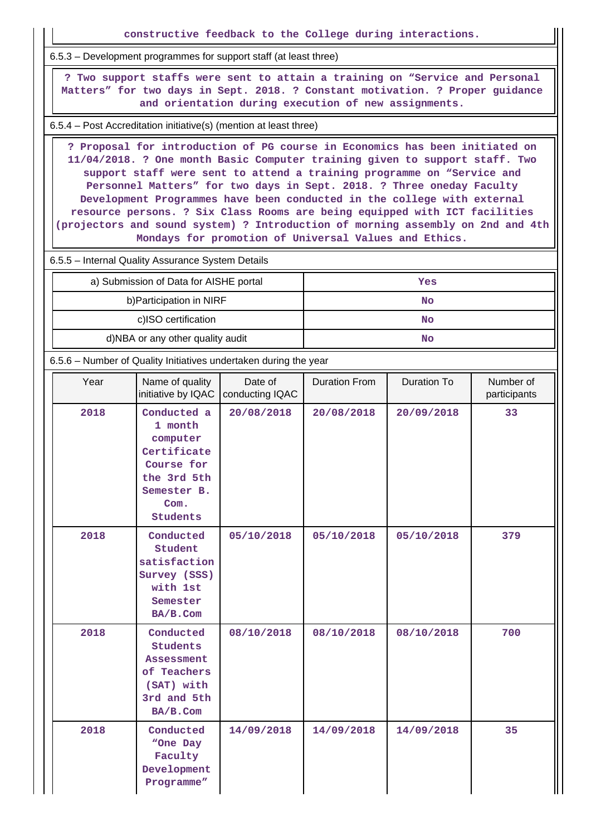**constructive feedback to the College during interactions.** 6.5.3 – Development programmes for support staff (at least three) **? Two support staffs were sent to attain a training on "Service and Personal Matters" for two days in Sept. 2018. ? Constant motivation. ? Proper guidance and orientation during execution of new assignments.** 6.5.4 – Post Accreditation initiative(s) (mention at least three) **? Proposal for introduction of PG course in Economics has been initiated on 11/04/2018. ? One month Basic Computer training given to support staff. Two support staff were sent to attend a training programme on "Service and Personnel Matters" for two days in Sept. 2018. ? Three oneday Faculty Development Programmes have been conducted in the college with external resource persons. ? Six Class Rooms are being equipped with ICT facilities (projectors and sound system) ? Introduction of morning assembly on 2nd and 4th Mondays for promotion of Universal Values and Ethics.** 6.5.5 – Internal Quality Assurance System Details a) Submission of Data for AISHE portal **Yes** b)Participation in NIRF No c)ISO certification **No** d)NBA or any other quality audit **No** 6.5.6 – Number of Quality Initiatives undertaken during the year Year | Name of quality initiative by IQAC Date of conducting IQAC Duration From | Duration To | Number of participants **2018 Conducted a 1 month computer Certificate Course for the 3rd 5th Semester B. Com. Students 20/08/2018 20/08/2018 20/09/2018 33 2018 Conducted Student satisfaction Survey (SSS) with 1st Semester BA/B.Com 05/10/2018 05/10/2018 05/10/2018 379 2018 Conducted Students Assessment of Teachers (SAT) with 3rd and 5th BA/B.Com 08/10/2018 08/10/2018 08/10/2018 700 2018 Conducted "One Day Faculty Development Programme" 14/09/2018 14/09/2018 14/09/2018 35**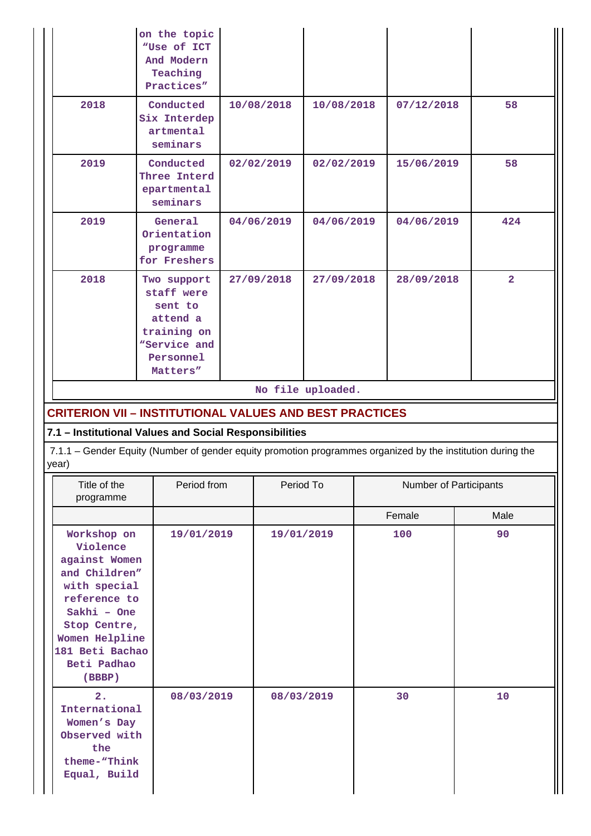|                                                                                                                                                                                        | on the topic<br>"Use of ICT<br>And Modern<br>Teaching<br>Practices"                                      |            |            |                                 |  |                        |                |  |  |
|----------------------------------------------------------------------------------------------------------------------------------------------------------------------------------------|----------------------------------------------------------------------------------------------------------|------------|------------|---------------------------------|--|------------------------|----------------|--|--|
| 2018                                                                                                                                                                                   | Conducted<br>Six Interdep<br>artmental<br>seminars                                                       | 10/08/2018 |            | 10/08/2018                      |  | 07/12/2018             | 58             |  |  |
| 2019                                                                                                                                                                                   | Conducted<br>Three Interd<br>epartmental<br>seminars                                                     | 02/02/2019 |            | 02/02/2019                      |  | 15/06/2019             | 58             |  |  |
| 2019                                                                                                                                                                                   | General<br>Orientation<br>programme<br>for Freshers                                                      | 04/06/2019 |            | 04/06/2019                      |  | 04/06/2019             | 424            |  |  |
| 2018<br><b>CRITERION VII - INSTITUTIONAL VALUES AND BEST PRACTICES</b>                                                                                                                 | Two support<br>staff were<br>sent to<br>attend a<br>training on<br>"Service and<br>Personnel<br>Matters" |            | 27/09/2018 | 27/09/2018<br>No file uploaded. |  | 28/09/2018             | $\overline{2}$ |  |  |
| 7.1 - Institutional Values and Social Responsibilities<br>7.1.1 - Gender Equity (Number of gender equity promotion programmes organized by the institution during the<br>year)         |                                                                                                          |            |            |                                 |  |                        |                |  |  |
| Title of the<br>programme                                                                                                                                                              | Period from                                                                                              |            | Period To  |                                 |  | Number of Participants |                |  |  |
|                                                                                                                                                                                        |                                                                                                          |            |            |                                 |  | Female                 | Male           |  |  |
| Workshop on<br>Violence<br>against Women<br>and Children"<br>with special<br>reference to<br>Sakhi - One<br>Stop Centre,<br>Women Helpline<br>181 Beti Bachao<br>Beti Padhao<br>(BBBP) | 19/01/2019                                                                                               |            | 19/01/2019 |                                 |  | 100                    | 90             |  |  |
| 2.<br>International<br>Women's Day<br>Observed with<br>the<br>theme-"Think<br>Equal, Build                                                                                             | 08/03/2019                                                                                               |            | 08/03/2019 |                                 |  | 30                     | 10             |  |  |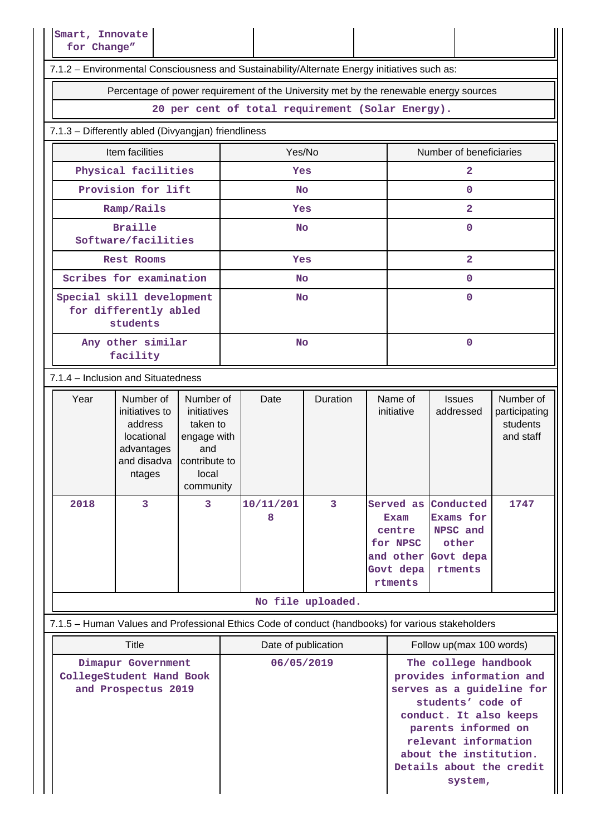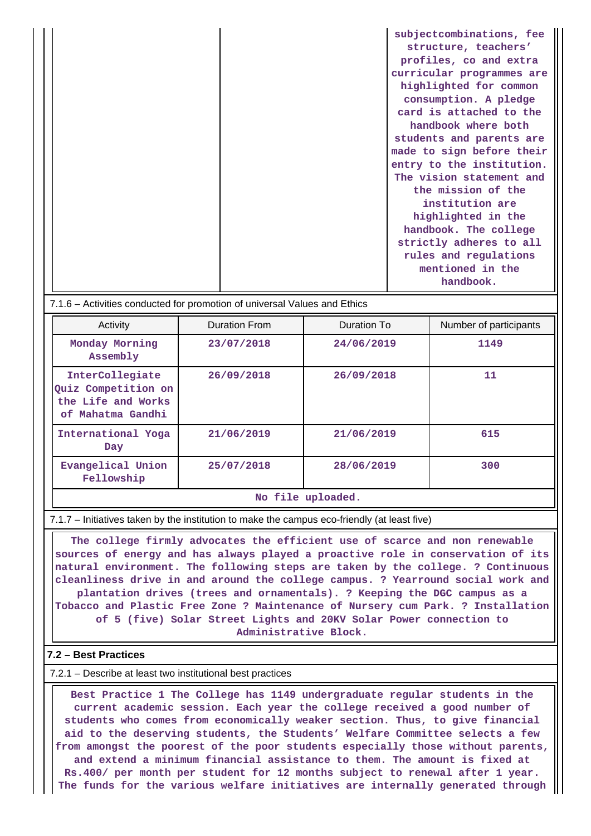**subjectcombinations, fee structure, teachers' profiles, co and extra curricular programmes are highlighted for common consumption. A pledge card is attached to the handbook where both students and parents are made to sign before their entry to the institution. The vision statement and the mission of the institution are highlighted in the handbook. The college strictly adheres to all rules and regulations mentioned in the handbook.**

7.1.6 – Activities conducted for promotion of universal Values and Ethics

| Activity                                                                          | Duration From | Duration To | Number of participants |  |  |  |  |
|-----------------------------------------------------------------------------------|---------------|-------------|------------------------|--|--|--|--|
| Monday Morning<br>Assembly                                                        | 23/07/2018    | 24/06/2019  | 1149                   |  |  |  |  |
| InterCollegiate<br>Quiz Competition on<br>the Life and Works<br>of Mahatma Gandhi | 26/09/2018    | 26/09/2018  | 11                     |  |  |  |  |
| International Yoga<br>Day                                                         | 21/06/2019    | 21/06/2019  | 615                    |  |  |  |  |
| Evangelical Union<br>Fellowship                                                   | 25/07/2018    | 28/06/2019  | 300                    |  |  |  |  |
| المتحال والمتحدث والمستقلة المتعد                                                 |               |             |                        |  |  |  |  |

#### **No file uploaded.**

7.1.7 – Initiatives taken by the institution to make the campus eco-friendly (at least five)

 **The college firmly advocates the efficient use of scarce and non renewable sources of energy and has always played a proactive role in conservation of its natural environment. The following steps are taken by the college. ? Continuous cleanliness drive in and around the college campus. ? Yearround social work and plantation drives (trees and ornamentals). ? Keeping the DGC campus as a Tobacco and Plastic Free Zone ? Maintenance of Nursery cum Park. ? Installation of 5 (five) Solar Street Lights and 20KV Solar Power connection to Administrative Block.**

### **7.2 – Best Practices**

#### 7.2.1 – Describe at least two institutional best practices

 **Best Practice 1 The College has 1149 undergraduate regular students in the current academic session. Each year the college received a good number of students who comes from economically weaker section. Thus, to give financial aid to the deserving students, the Students' Welfare Committee selects a few from amongst the poorest of the poor students especially those without parents, and extend a minimum financial assistance to them. The amount is fixed at Rs.400/ per month per student for 12 months subject to renewal after 1 year. The funds for the various welfare initiatives are internally generated through**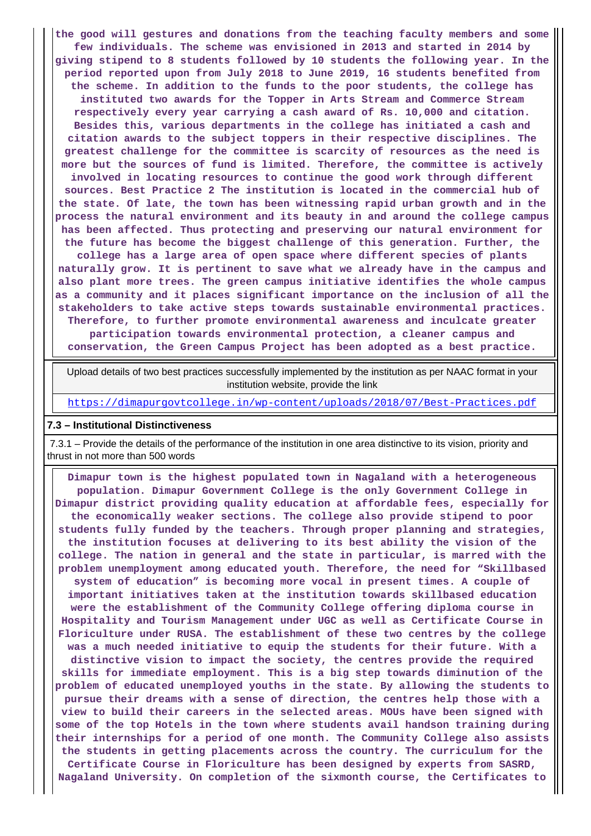**the good will gestures and donations from the teaching faculty members and some few individuals. The scheme was envisioned in 2013 and started in 2014 by giving stipend to 8 students followed by 10 students the following year. In the period reported upon from July 2018 to June 2019, 16 students benefited from the scheme. In addition to the funds to the poor students, the college has instituted two awards for the Topper in Arts Stream and Commerce Stream respectively every year carrying a cash award of Rs. 10,000 and citation. Besides this, various departments in the college has initiated a cash and citation awards to the subject toppers in their respective disciplines. The greatest challenge for the committee is scarcity of resources as the need is more but the sources of fund is limited. Therefore, the committee is actively involved in locating resources to continue the good work through different sources. Best Practice 2 The institution is located in the commercial hub of the state. Of late, the town has been witnessing rapid urban growth and in the process the natural environment and its beauty in and around the college campus has been affected. Thus protecting and preserving our natural environment for the future has become the biggest challenge of this generation. Further, the college has a large area of open space where different species of plants naturally grow. It is pertinent to save what we already have in the campus and also plant more trees. The green campus initiative identifies the whole campus as a community and it places significant importance on the inclusion of all the stakeholders to take active steps towards sustainable environmental practices. Therefore, to further promote environmental awareness and inculcate greater participation towards environmental protection, a cleaner campus and conservation, the Green Campus Project has been adopted as a best practice.**

 Upload details of two best practices successfully implemented by the institution as per NAAC format in your institution website, provide the link

<https://dimapurgovtcollege.in/wp-content/uploads/2018/07/Best-Practices.pdf>

#### **7.3 – Institutional Distinctiveness**

 7.3.1 – Provide the details of the performance of the institution in one area distinctive to its vision, priority and thrust in not more than 500 words

 **Dimapur town is the highest populated town in Nagaland with a heterogeneous population. Dimapur Government College is the only Government College in Dimapur district providing quality education at affordable fees, especially for the economically weaker sections. The college also provide stipend to poor students fully funded by the teachers. Through proper planning and strategies, the institution focuses at delivering to its best ability the vision of the college. The nation in general and the state in particular, is marred with the problem unemployment among educated youth. Therefore, the need for "Skillbased system of education" is becoming more vocal in present times. A couple of important initiatives taken at the institution towards skillbased education were the establishment of the Community College offering diploma course in Hospitality and Tourism Management under UGC as well as Certificate Course in Floriculture under RUSA. The establishment of these two centres by the college was a much needed initiative to equip the students for their future. With a distinctive vision to impact the society, the centres provide the required skills for immediate employment. This is a big step towards diminution of the problem of educated unemployed youths in the state. By allowing the students to pursue their dreams with a sense of direction, the centres help those with a view to build their careers in the selected areas. MOUs have been signed with some of the top Hotels in the town where students avail handson training during their internships for a period of one month. The Community College also assists the students in getting placements across the country. The curriculum for the Certificate Course in Floriculture has been designed by experts from SASRD, Nagaland University. On completion of the sixmonth course, the Certificates to**